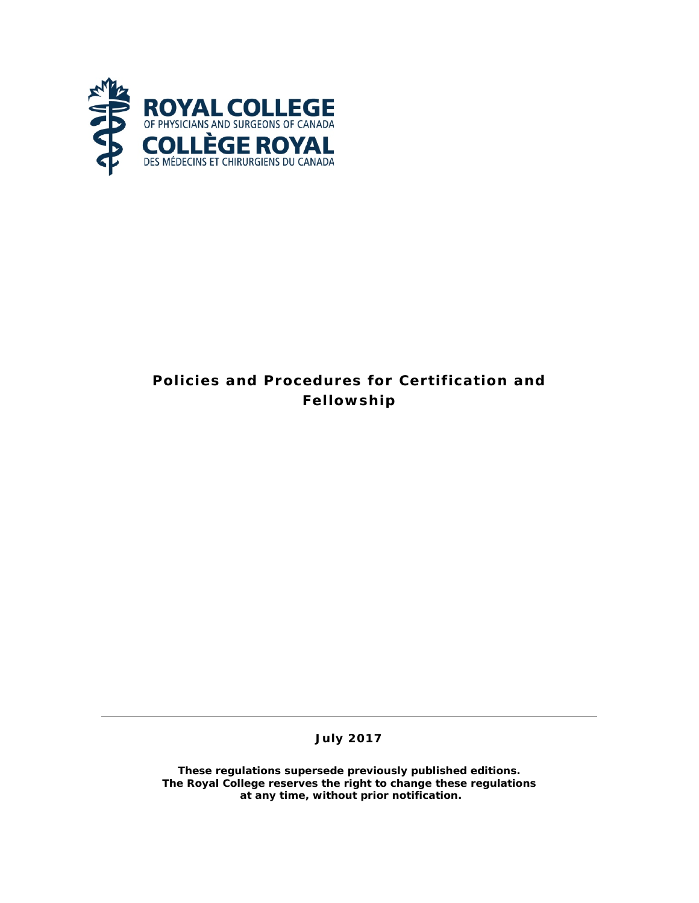

# **Policies and Procedures for Certification and Fellowship**

**July 2017**

**These regulations supersede previously published editions. The Royal College reserves the right to change these regulations at any time, without prior notification.**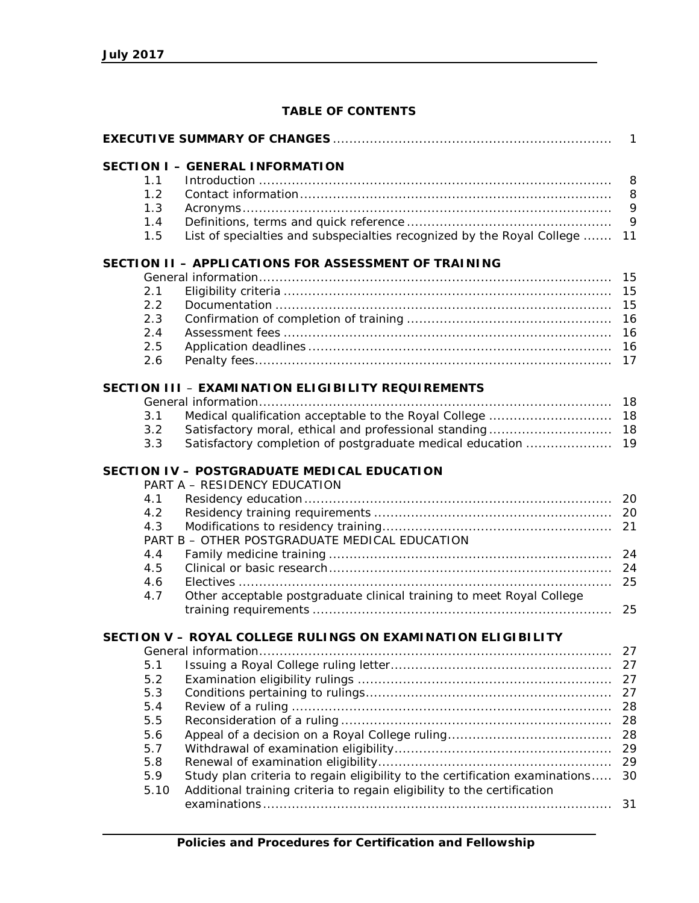# **TABLE OF CONTENTS**

| 1 |                                                                                    |  |    |  |  |  |  |
|---|------------------------------------------------------------------------------------|--|----|--|--|--|--|
|   | <b>SECTION I - GENERAL INFORMATION</b>                                             |  |    |  |  |  |  |
|   | 1.1                                                                                |  | 8  |  |  |  |  |
|   | 1.2                                                                                |  | 8  |  |  |  |  |
|   | 1.3                                                                                |  | 9  |  |  |  |  |
|   | 1.4                                                                                |  | 9  |  |  |  |  |
|   | List of specialties and subspecialties recognized by the Royal College<br>1.5      |  | 11 |  |  |  |  |
|   | SECTION II - APPLICATIONS FOR ASSESSMENT OF TRAINING                               |  |    |  |  |  |  |
|   |                                                                                    |  | 15 |  |  |  |  |
|   | 2.1                                                                                |  | 15 |  |  |  |  |
|   | 2.2                                                                                |  | 15 |  |  |  |  |
|   | 2.3                                                                                |  | 16 |  |  |  |  |
|   | 2.4                                                                                |  | 16 |  |  |  |  |
|   | 2.5                                                                                |  | 16 |  |  |  |  |
|   | 2.6                                                                                |  | 17 |  |  |  |  |
|   | SECTION III - EXAMINATION ELIGIBILITY REQUIREMENTS                                 |  |    |  |  |  |  |
|   |                                                                                    |  |    |  |  |  |  |
|   | 3.1<br>Medical qualification acceptable to the Royal College                       |  | 18 |  |  |  |  |
|   | Satisfactory moral, ethical and professional standing<br>3.2                       |  | 18 |  |  |  |  |
|   | Satisfactory completion of postgraduate medical education<br>3.3                   |  | 19 |  |  |  |  |
|   | SECTION IV - POSTGRADUATE MEDICAL EDUCATION<br>PART A - RESIDENCY EDUCATION        |  |    |  |  |  |  |
|   | 4.1                                                                                |  |    |  |  |  |  |
|   | 4.2                                                                                |  |    |  |  |  |  |
|   | 4.3                                                                                |  | 21 |  |  |  |  |
|   | PART B - OTHER POSTGRADUATE MEDICAL EDUCATION                                      |  |    |  |  |  |  |
|   | 4.4                                                                                |  | 24 |  |  |  |  |
|   | 4.5                                                                                |  | 24 |  |  |  |  |
|   | 4.6                                                                                |  | 25 |  |  |  |  |
|   | Other acceptable postgraduate clinical training to meet Royal College<br>4.7       |  |    |  |  |  |  |
|   |                                                                                    |  | 25 |  |  |  |  |
|   | SECTION V - ROYAL COLLEGE RULINGS ON EXAMINATION ELIGIBILITY                       |  |    |  |  |  |  |
|   |                                                                                    |  | 27 |  |  |  |  |
|   | 5.1                                                                                |  | 27 |  |  |  |  |
|   | 5.2                                                                                |  | 27 |  |  |  |  |
|   | 5.3                                                                                |  | 27 |  |  |  |  |
|   | 5.4                                                                                |  | 28 |  |  |  |  |
|   | 5.5                                                                                |  | 28 |  |  |  |  |
|   | 5.6                                                                                |  | 28 |  |  |  |  |
|   | 5.7                                                                                |  | 29 |  |  |  |  |
|   | 5.8                                                                                |  | 29 |  |  |  |  |
|   | Study plan criteria to regain eligibility to the certification examinations<br>5.9 |  | 30 |  |  |  |  |
|   | Additional training criteria to regain eligibility to the certification<br>5.10    |  | 31 |  |  |  |  |
|   |                                                                                    |  |    |  |  |  |  |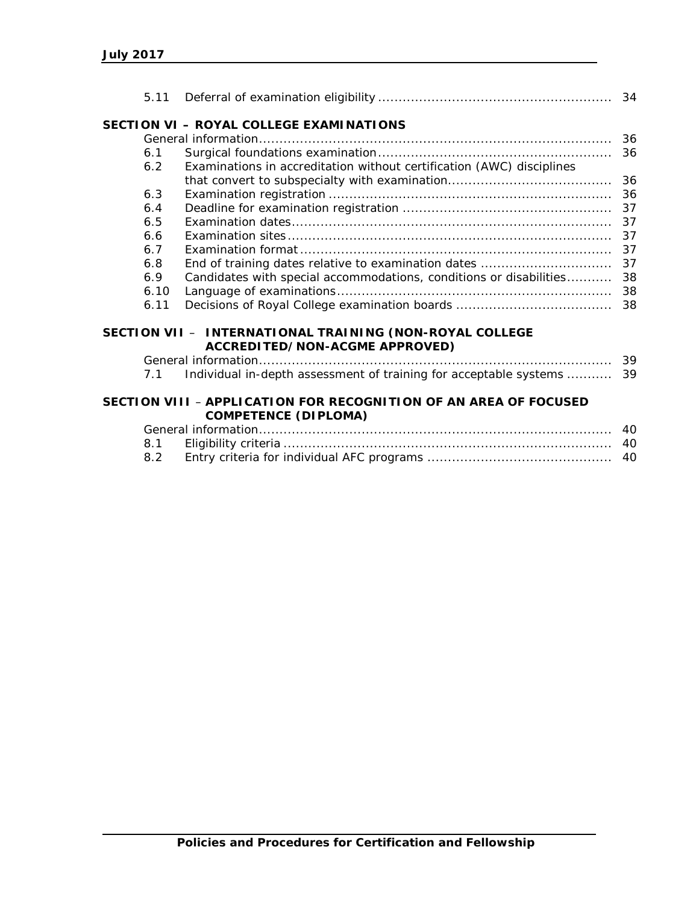|      | SECTION VI - ROYAL COLLEGE EXAMINATIONS                                                         |          |
|------|-------------------------------------------------------------------------------------------------|----------|
|      |                                                                                                 | 36       |
| 6.1  |                                                                                                 | 36       |
| 6.2  | Examinations in accreditation without certification (AWC) disciplines                           |          |
|      |                                                                                                 | 36       |
| 6.3  |                                                                                                 | 36       |
| 6.4  |                                                                                                 | 37       |
| 6.5  |                                                                                                 | 37       |
| 6.6  |                                                                                                 | 37       |
| 6.7  |                                                                                                 | 37       |
| 6.8  |                                                                                                 | 37       |
| 6.9  | Candidates with special accommodations, conditions or disabilities                              | 38       |
| 6.10 |                                                                                                 | 38       |
| 6.11 |                                                                                                 |          |
|      | SECTION VII - INTERNATIONAL TRAINING (NON-ROYAL COLLEGE                                         |          |
|      | ACCREDITED/NON-ACGME APPROVED)                                                                  |          |
| 7.1  | Individual in-depth assessment of training for acceptable systems                               | 39<br>39 |
|      |                                                                                                 |          |
|      | SECTION VIII - APPLICATION FOR RECOGNITION OF AN AREA OF FOCUSED<br><b>COMPETENCE (DIPLOMA)</b> |          |
|      |                                                                                                 |          |
| 8.1  |                                                                                                 | 40       |
| 8.2  |                                                                                                 | 40       |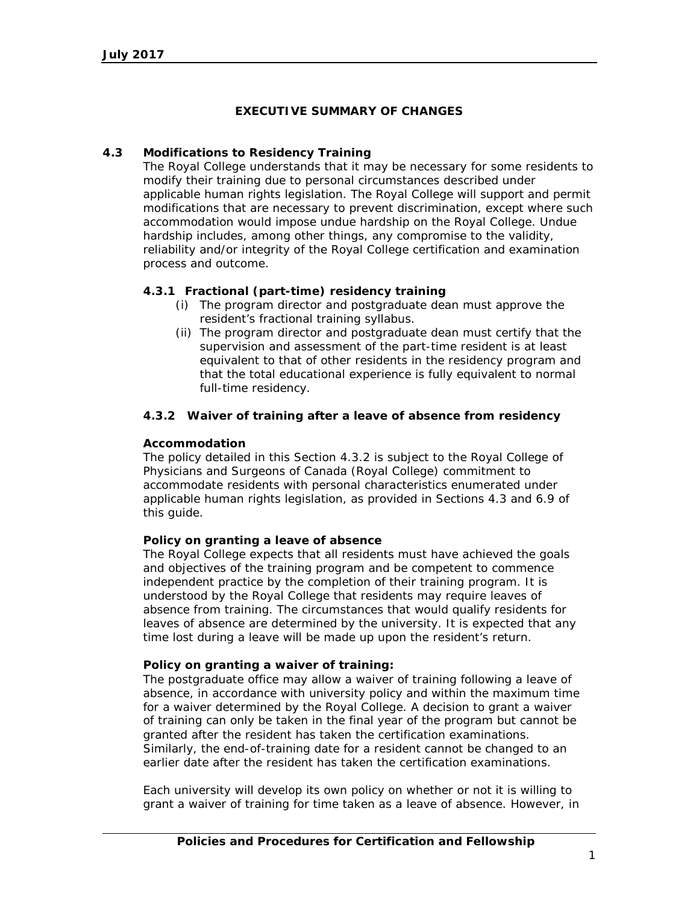# **EXECUTIVE SUMMARY OF CHANGES**

# **4.3 Modifications to Residency Training**

The Royal College understands that it may be necessary for some residents to modify their training due to personal circumstances described under applicable human rights legislation. The Royal College will support and permit modifications that are necessary to prevent discrimination, except where such accommodation would impose undue hardship on the Royal College. Undue hardship includes, among other things, any compromise to the validity, reliability and/or integrity of the Royal College certification and examination process and outcome.

# **4.3.1 Fractional (part-time) residency training**

- (i) The program director and postgraduate dean must approve the resident's fractional training syllabus.
- (ii) The program director and postgraduate dean must certify that the supervision and assessment of the part-time resident is at least equivalent to that of other residents in the residency program and that the total educational experience is fully equivalent to normal full-time residency.

### **4.3.2 Waiver of training after a leave of absence from residency**

#### **Accommodation**

The policy detailed in this Section 4.3.2 is subject to the Royal College of Physicians and Surgeons of Canada (Royal College) commitment to accommodate residents with personal characteristics enumerated under applicable human rights legislation, as provided in Sections 4.3 and 6.9 of this guide.

#### **Policy on granting a leave of absence**

The Royal College expects that all residents must have achieved the goals and objectives of the training program and be competent to commence independent practice by the completion of their training program. It is understood by the Royal College that residents may require leaves of absence from training. The circumstances that would qualify residents for leaves of absence are determined by the university. It is expected that any time lost during a leave will be made up upon the resident's return.

#### **Policy on granting a waiver of training:**

The postgraduate office may allow a waiver of training following a leave of absence, in accordance with university policy and within the maximum time for a waiver determined by the Royal College. A decision to grant a waiver of training can only be taken in the final year of the program but cannot be granted after the resident has taken the certification examinations. Similarly, the end-of-training date for a resident cannot be changed to an earlier date after the resident has taken the certification examinations.

Each university will develop its own policy on whether or not it is willing to grant a waiver of training for time taken as a leave of absence. However, in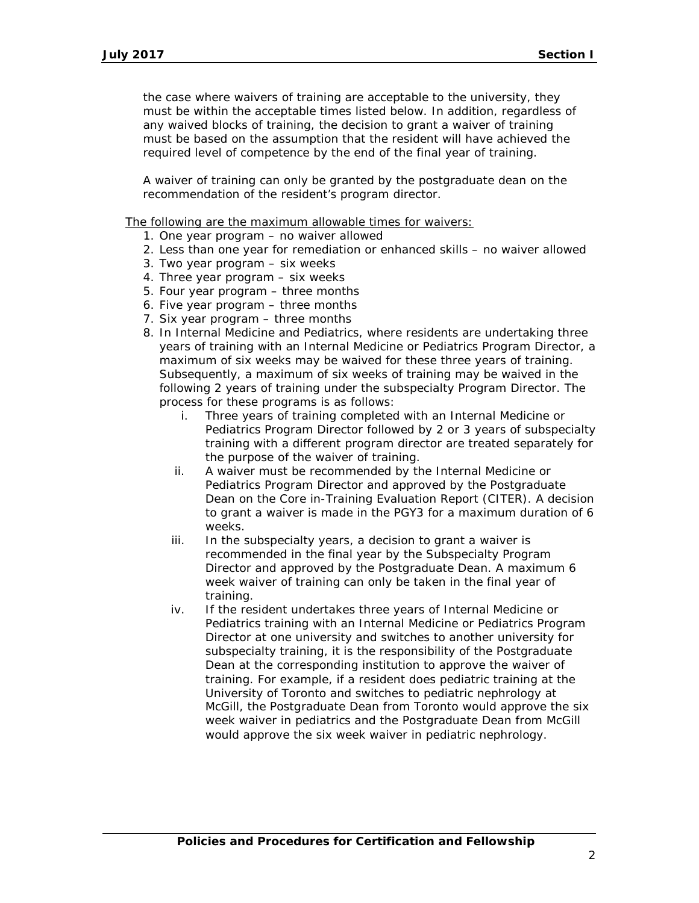the case where waivers of training are acceptable to the university, they must be within the acceptable times listed below. In addition, regardless of any waived blocks of training, the decision to grant a waiver of training must be based on the assumption that the resident will have achieved the required level of competence by the end of the final year of training.

A waiver of training can only be granted by the postgraduate dean on the recommendation of the resident's program director.

The following are the maximum allowable times for waivers:

- 1. One year program no waiver allowed
- 2. Less than one year for remediation or enhanced skills no waiver allowed
- 3. Two year program six weeks
- 4. Three year program six weeks
- 5. Four year program three months
- 6. Five year program three months
- 7. Six year program three months
- 8. In Internal Medicine and Pediatrics, where residents are undertaking three years of training with an Internal Medicine or Pediatrics Program Director, a maximum of six weeks may be waived for these three years of training. Subsequently, a maximum of six weeks of training may be waived in the following 2 years of training under the subspecialty Program Director. The process for these programs is as follows:
	- i. Three years of training completed with an Internal Medicine or Pediatrics Program Director followed by 2 or 3 years of subspecialty training with a different program director are treated separately for the purpose of the waiver of training.
	- ii. A waiver must be recommended by the Internal Medicine or Pediatrics Program Director and approved by the Postgraduate Dean on the Core in-Training Evaluation Report (CITER). A decision to grant a waiver is made in the PGY3 for a maximum duration of 6 weeks.
	- iii. In the subspecialty years, a decision to grant a waiver is recommended in the final year by the Subspecialty Program Director and approved by the Postgraduate Dean. A maximum 6 week waiver of training can only be taken in the final year of training.
	- iv. If the resident undertakes three years of Internal Medicine or Pediatrics training with an Internal Medicine or Pediatrics Program Director at one university and switches to another university for subspecialty training, it is the responsibility of the Postgraduate Dean at the corresponding institution to approve the waiver of training. For example, if a resident does pediatric training at the University of Toronto and switches to pediatric nephrology at McGill, the Postgraduate Dean from Toronto would approve the six week waiver in pediatrics and the Postgraduate Dean from McGill would approve the six week waiver in pediatric nephrology.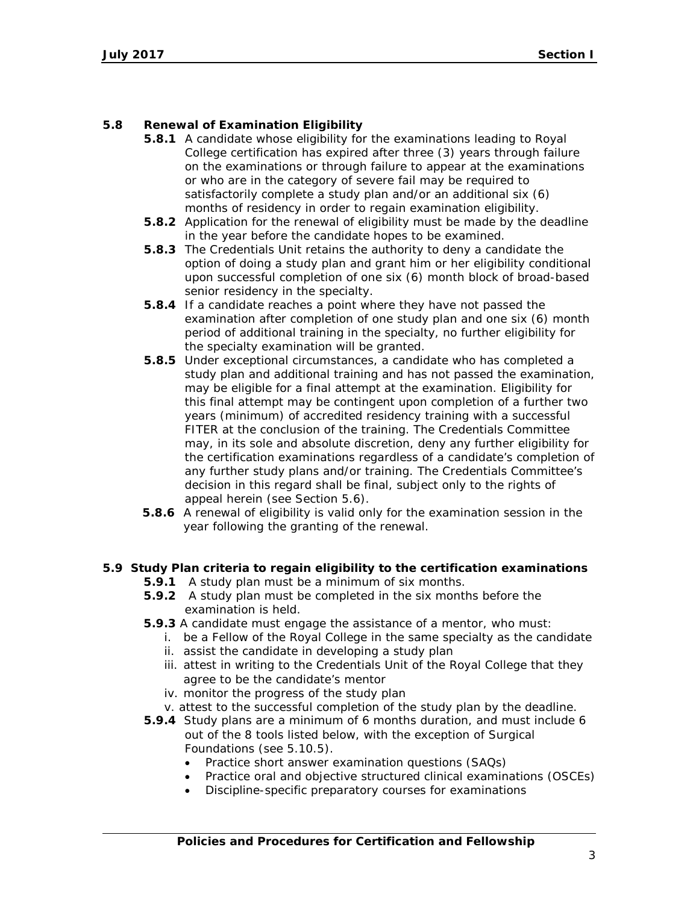# **5.8 Renewal of Examination Eligibility**

- **5.8.1** A candidate whose eligibility for the examinations leading to Royal College certification has expired after three (3) years through failure on the examinations or through failure to appear at the examinations or who are in the category of severe fail may be required to satisfactorily complete a study plan and/or an additional six (6) months of residency in order to regain examination eligibility.
- **5.8.2** Application for the renewal of eligibility must be made by the deadline in the year before the candidate hopes to be examined.
- **5.8.3** The Credentials Unit retains the authority to deny a candidate the option of doing a study plan and grant him or her eligibility conditional upon successful completion of one six (6) month block of broad-based senior residency in the specialty.
- **5.8.4** If a candidate reaches a point where they have not passed the examination after completion of one study plan and one six (6) month period of additional training in the specialty, no further eligibility for the specialty examination will be granted.
- **5.8.5** Under exceptional circumstances, a candidate who has completed a study plan and additional training and has not passed the examination, may be eligible for a final attempt at the examination. Eligibility for this final attempt may be contingent upon completion of a further two years (minimum) of accredited residency training with a successful FITER at the conclusion of the training. The Credentials Committee may, in its sole and absolute discretion, deny any further eligibility for the certification examinations regardless of a candidate's completion of any further study plans and/or training. The Credentials Committee's decision in this regard shall be final, subject only to the rights of appeal herein (see Section 5.6).
- **5.8.6** A renewal of eligibility is valid only for the examination session in the year following the granting of the renewal.

# **5.9 Study Plan criteria to regain eligibility to the certification examinations**

- **5.9.1** A study plan must be a minimum of six months.
- **5.9.2** A study plan must be completed in the six months before the examination is held.
- **5.9.3** A candidate must engage the assistance of a mentor, who must:
	- i. be a Fellow of the Royal College in the same specialty as the candidate
	- ii. assist the candidate in developing a study plan
	- iii. attest in writing to the Credentials Unit of the Royal College that they agree to be the candidate's mentor
	- iv. monitor the progress of the study plan
	- v. attest to the successful completion of the study plan by the deadline.
- **5.9.4** Study plans are a minimum of 6 months duration, and must include 6 out of the 8 tools listed below, with the exception of Surgical Foundations (see 5.10.5).
	- Practice short answer examination questions (SAQs)
	- Practice oral and objective structured clinical examinations (OSCEs)
	- Discipline-specific preparatory courses for examinations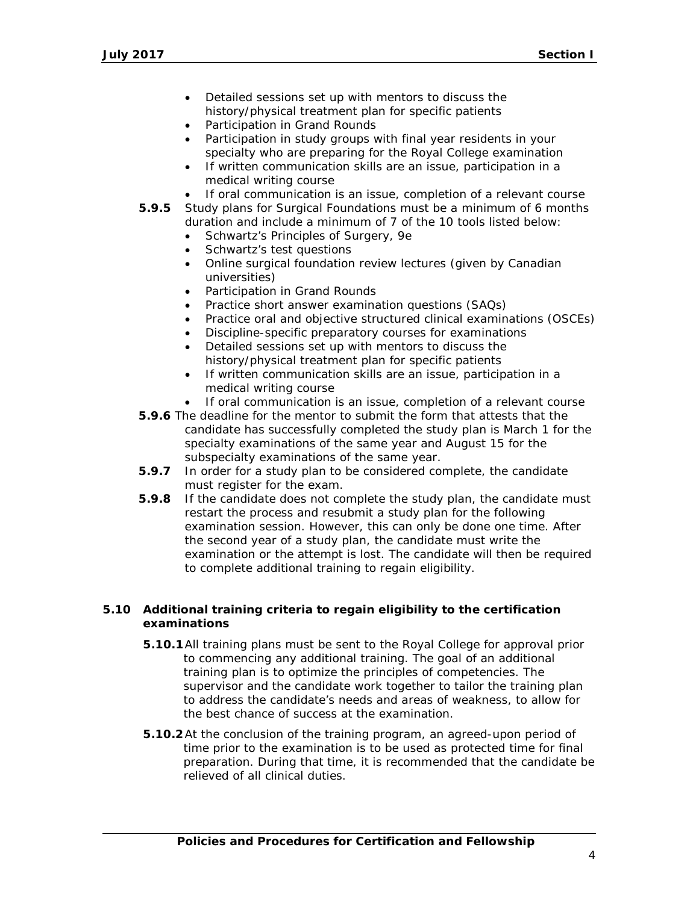- Detailed sessions set up with mentors to discuss the history/physical treatment plan for specific patients
- Participation in Grand Rounds
- Participation in study groups with final year residents in your specialty who are preparing for the Royal College examination
- If written communication skills are an issue, participation in a medical writing course
- If oral communication is an issue, completion of a relevant course
- **5.9.5** Study plans for Surgical Foundations must be a minimum of 6 months duration and include a minimum of 7 of the 10 tools listed below:
	- Schwartz's Principles of Surgery, 9e
	- Schwartz's test questions
	- Online surgical foundation review lectures (given by Canadian universities)
	- Participation in Grand Rounds
	- Practice short answer examination questions (SAQs)
	- Practice oral and objective structured clinical examinations (OSCEs)
	- Discipline-specific preparatory courses for examinations
	- Detailed sessions set up with mentors to discuss the history/physical treatment plan for specific patients
	- If written communication skills are an issue, participation in a medical writing course
	- If oral communication is an issue, completion of a relevant course
- **5.9.6** The deadline for the mentor to submit the form that attests that the candidate has successfully completed the study plan is March 1 for the specialty examinations of the same year and August 15 for the subspecialty examinations of the same year.
- **5.9.7** In order for a study plan to be considered complete, the candidate must register for the exam.
- **5.9.8** If the candidate does not complete the study plan, the candidate must restart the process and resubmit a study plan for the following examination session. However, this can only be done one time. After the second year of a study plan, the candidate must write the examination or the attempt is lost. The candidate will then be required to complete additional training to regain eligibility.

# **5.10 Additional training criteria to regain eligibility to the certification examinations**

- **5.10.1**All training plans must be sent to the Royal College for approval prior to commencing any additional training. The goal of an additional training plan is to optimize the principles of competencies. The supervisor and the candidate work together to tailor the training plan to address the candidate's needs and areas of weakness, to allow for the best chance of success at the examination.
- **5.10.2**At the conclusion of the training program, an agreed-upon period of time prior to the examination is to be used as protected time for final preparation. During that time, it is recommended that the candidate be relieved of all clinical duties.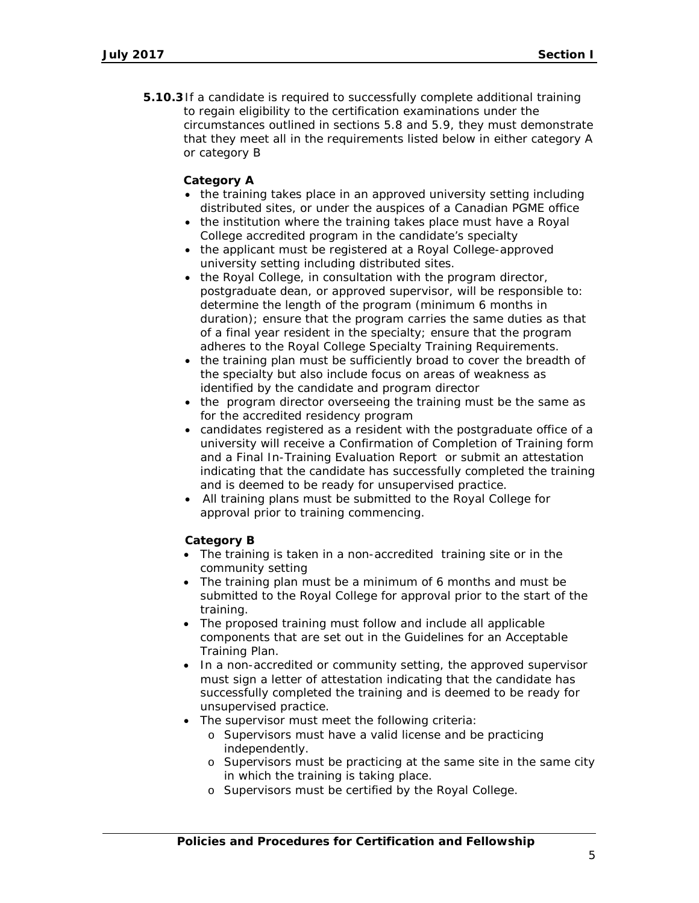**5.10.3**If a candidate is required to successfully complete additional training to regain eligibility to the certification examinations under the circumstances outlined in sections 5.8 and 5.9, they must demonstrate that they meet all in the requirements listed below in either category A or category B

# **Category A**

- the training takes place in an approved university setting including distributed sites, or under the auspices of a Canadian PGME office
- the institution where the training takes place must have a Royal College accredited program in the candidate's specialty
- the applicant must be registered at a Royal College-approved university setting including distributed sites.
- the Royal College, in consultation with the program director, postgraduate dean, or approved supervisor, will be responsible to: determine the length of the program (minimum 6 months in duration); ensure that the program carries the same duties as that of a final year resident in the specialty; ensure that the program adheres to the Royal College Specialty Training Requirements.
- the training plan must be sufficiently broad to cover the breadth of the specialty but also include focus on areas of weakness as identified by the candidate and program director
- the program director overseeing the training must be the same as for the accredited residency program
- candidates registered as a resident with the postgraduate office of a university will receive a Confirmation of Completion of Training form and a Final In-Training Evaluation Report or submit an attestation indicating that the candidate has successfully completed the training and is deemed to be ready for unsupervised practice.
- All training plans must be submitted to the Royal College for approval prior to training commencing.

# **Category B**

- The training is taken in a non-accredited training site or in the community setting
- The training plan must be a minimum of 6 months and must be submitted to the Royal College for approval prior to the start of the training.
- The proposed training must follow and include all applicable components that are set out in the Guidelines for an Acceptable Training Plan.
- In a non-accredited or community setting, the approved supervisor must sign a letter of attestation indicating that the candidate has successfully completed the training and is deemed to be ready for unsupervised practice.
- The supervisor must meet the following criteria:
	- o Supervisors must have a valid license and be practicing independently.
	- o Supervisors must be practicing at the same site in the same city in which the training is taking place.
	- o Supervisors must be certified by the Royal College.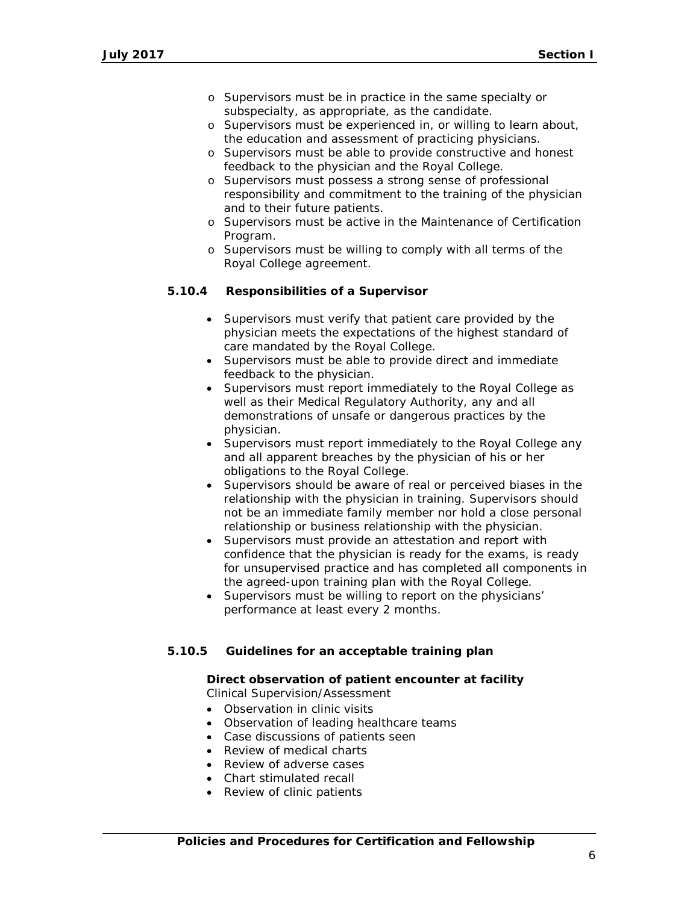- o Supervisors must be in practice in the same specialty or subspecialty, as appropriate, as the candidate.
- o Supervisors must be experienced in, or willing to learn about, the education and assessment of practicing physicians.
- o Supervisors must be able to provide constructive and honest feedback to the physician and the Royal College.
- o Supervisors must possess a strong sense of professional responsibility and commitment to the training of the physician and to their future patients.
- o Supervisors must be active in the Maintenance of Certification Program.
- o Supervisors must be willing to comply with all terms of the Royal College agreement.

# **5.10.4 Responsibilities of a Supervisor**

- Supervisors must verify that patient care provided by the physician meets the expectations of the highest standard of care mandated by the Royal College.
- Supervisors must be able to provide direct and immediate feedback to the physician.
- Supervisors must report immediately to the Royal College as well as their Medical Regulatory Authority, any and all demonstrations of unsafe or dangerous practices by the physician.
- Supervisors must report immediately to the Royal College any and all apparent breaches by the physician of his or her obligations to the Royal College.
- Supervisors should be aware of real or perceived biases in the relationship with the physician in training. Supervisors should not be an immediate family member nor hold a close personal relationship or business relationship with the physician.
- Supervisors must provide an attestation and report with confidence that the physician is ready for the exams, is ready for unsupervised practice and has completed all components in the agreed-upon training plan with the Royal College.
- Supervisors must be willing to report on the physicians' performance at least every 2 months.

# **5.10.5 Guidelines for an acceptable training plan**

# **Direct observation of patient encounter at facility**

- Clinical Supervision/Assessment
- Observation in clinic visits
- Observation of leading healthcare teams
- Case discussions of patients seen
- Review of medical charts
- Review of adverse cases
- Chart stimulated recall
- Review of clinic patients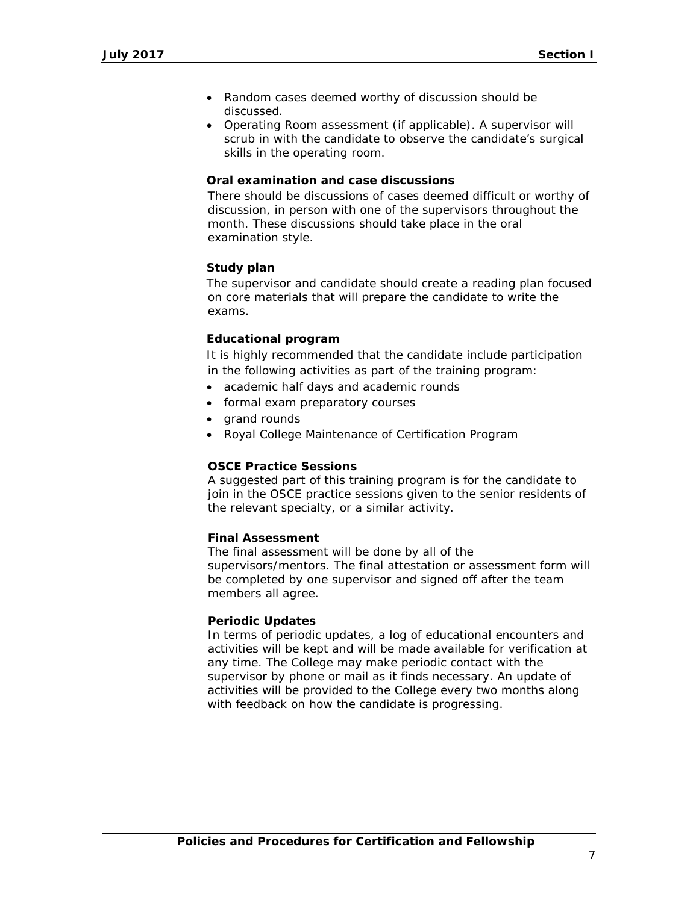- Random cases deemed worthy of discussion should be discussed.
- Operating Room assessment (if applicable). A supervisor will scrub in with the candidate to observe the candidate's surgical skills in the operating room.

# **Oral examination and case discussions**

There should be discussions of cases deemed difficult or worthy of discussion, in person with one of the supervisors throughout the month. These discussions should take place in the oral examination style.

# **Study plan**

The supervisor and candidate should create a reading plan focused on core materials that will prepare the candidate to write the exams.

# **Educational program**

It is highly recommended that the candidate include participation in the following activities as part of the training program:

- academic half days and academic rounds
- formal exam preparatory courses
- grand rounds
- Royal College Maintenance of Certification Program

# **OSCE Practice Sessions**

A suggested part of this training program is for the candidate to join in the OSCE practice sessions given to the senior residents of the relevant specialty, or a similar activity.

# **Final Assessment**

The final assessment will be done by all of the supervisors/mentors. The final attestation or assessment form will be completed by one supervisor and signed off after the team members all agree.

# **Periodic Updates**

In terms of periodic updates, a log of educational encounters and activities will be kept and will be made available for verification at any time. The College may make periodic contact with the supervisor by phone or mail as it finds necessary. An update of activities will be provided to the College every two months along with feedback on how the candidate is progressing.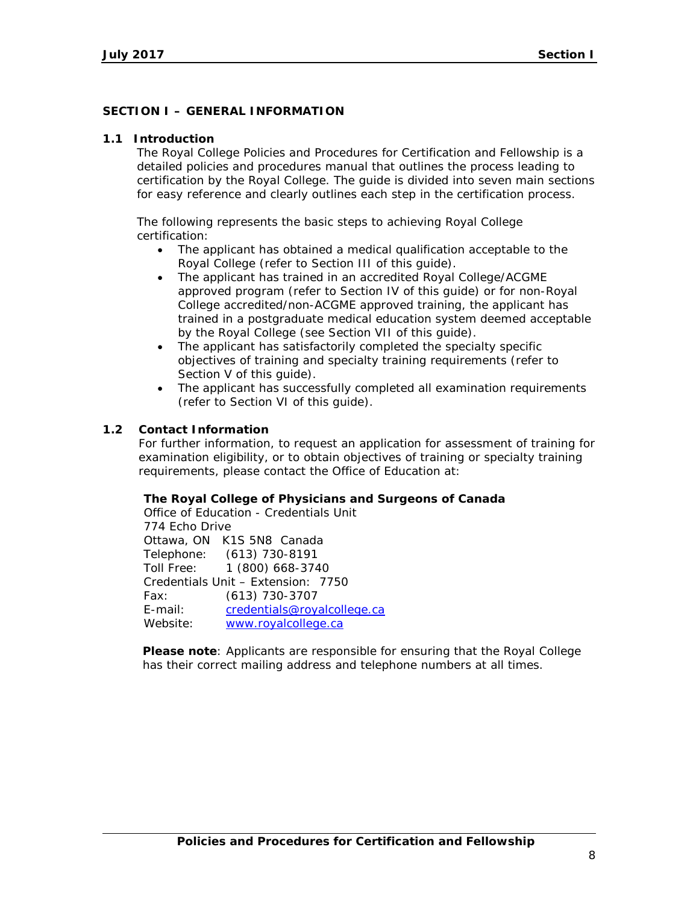# **SECTION I – GENERAL INFORMATION**

### **1.1 Introduction**

The Royal College *Policies and Procedures for Certification and Fellowship* is a detailed policies and procedures manual that outlines the process leading to certification by the Royal College. The guide is divided into seven main sections for easy reference and clearly outlines each step in the certification process.

The following represents the basic steps to achieving Royal College certification:

- The applicant has obtained a medical qualification acceptable to the Royal College (refer to Section III of this guide).
- The applicant has trained in an accredited Royal College/ACGME approved program (refer to Section IV of this guide) or for non-Royal College accredited/non-ACGME approved training, the applicant has trained in a postgraduate medical education system deemed acceptable by the Royal College (see Section VII of this guide).
- The applicant has satisfactorily completed the specialty specific objectives of training and specialty training requirements (refer to Section V of this guide).
- The applicant has successfully completed all examination requirements (refer to Section VI of this guide).

# **1.2 Contact Information**

For further information, to request an application for assessment of training for examination eligibility, or to obtain objectives of training or specialty training requirements, please contact the Office of Education at:

#### **The Royal College of Physicians and Surgeons of Canada**

Office of Education - Credentials Unit 774 Echo Drive Ottawa, ON K1S 5N8 Canada Telephone: (613) 730-8191 Toll Free: 1 (800) 668-3740 Credentials Unit – Extension: 7750 Fax: (613) 730-3707 E-mail: [credentials@royalcollege.ca](mailto:credentials@royalcollege.ca) Website: [www.royalcollege.ca](http://www.royalcollege.ca/)

**Please note**: Applicants are responsible for ensuring that the Royal College has their correct mailing address and telephone numbers at all times.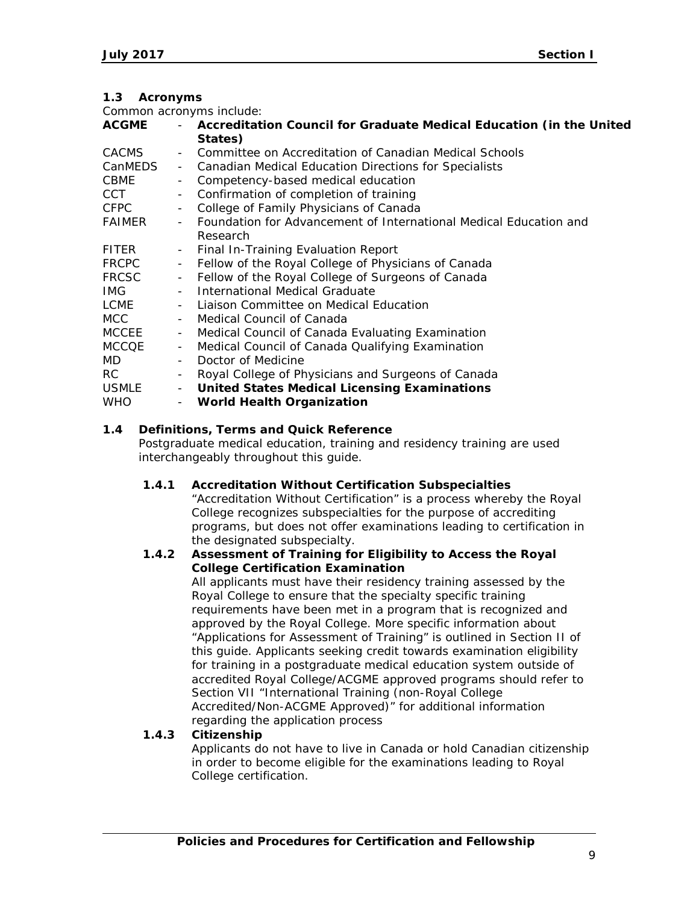# **1.3 Acronyms**

Common acronyms include:

| <b>ACGME</b> |                          | Accreditation Council for Graduate Medical Education (in the United |
|--------------|--------------------------|---------------------------------------------------------------------|
|              |                          | States)                                                             |
| <b>CACMS</b> |                          | Committee on Accreditation of Canadian Medical Schools              |
| CanMEDS      | $\sim$                   | Canadian Medical Education Directions for Specialists               |
| <b>CBME</b>  |                          | Competency-based medical education                                  |
| CCT          |                          | - Confirmation of completion of training                            |
| <b>CFPC</b>  |                          | College of Family Physicians of Canada                              |
| FAIMER       |                          | - Foundation for Advancement of International Medical Education and |
|              |                          | Research                                                            |
| <b>FITER</b> | $\sim$                   | Final In-Training Evaluation Report                                 |
| <b>FRCPC</b> | $\overline{\phantom{a}}$ | Fellow of the Royal College of Physicians of Canada                 |
| <b>FRCSC</b> | $\sim$                   | Fellow of the Royal College of Surgeons of Canada                   |
| IMG.         |                          | International Medical Graduate                                      |
| LCME         |                          | Liaison Committee on Medical Education                              |
| MCC.         |                          | Medical Council of Canada                                           |
| MCCEE        | $\overline{\phantom{a}}$ | Medical Council of Canada Evaluating Examination                    |
| MCCQE        | $\overline{\phantom{a}}$ | Medical Council of Canada Qualifying Examination                    |
| MD.          |                          | Doctor of Medicine                                                  |
| RC.          |                          | Royal College of Physicians and Surgeons of Canada                  |
| <b>USMLE</b> | $\blacksquare$           | <b>United States Medical Licensing Examinations</b>                 |
| <b>WHO</b>   |                          | <b>World Health Organization</b>                                    |
|              |                          |                                                                     |

# **1.4 Definitions, Terms and Quick Reference**

Postgraduate medical education, training and residency training are used interchangeably throughout this guide.

# **1.4.1 Accreditation Without Certification Subspecialties**

"Accreditation Without Certification" is a process whereby the Royal College recognizes subspecialties for the purpose of accrediting programs, but does not offer examinations leading to certification in the designated subspecialty.

### **1.4.2 Assessment of Training for Eligibility to Access the Royal College Certification Examination**

All applicants must have their residency training assessed by the Royal College to ensure that the specialty specific training requirements have been met in a program that is recognized and approved by the Royal College. More specific information about "Applications for Assessment of Training" is outlined in Section II of this guide. Applicants seeking credit towards examination eligibility for training in a postgraduate medical education system outside of accredited Royal College/ACGME approved programs should refer to Section VII "International Training (non-Royal College Accredited/Non-ACGME Approved)" for additional information regarding the application process

# **1.4.3 Citizenship**

Applicants do not have to live in Canada or hold Canadian citizenship in order to become eligible for the examinations leading to Royal College certification.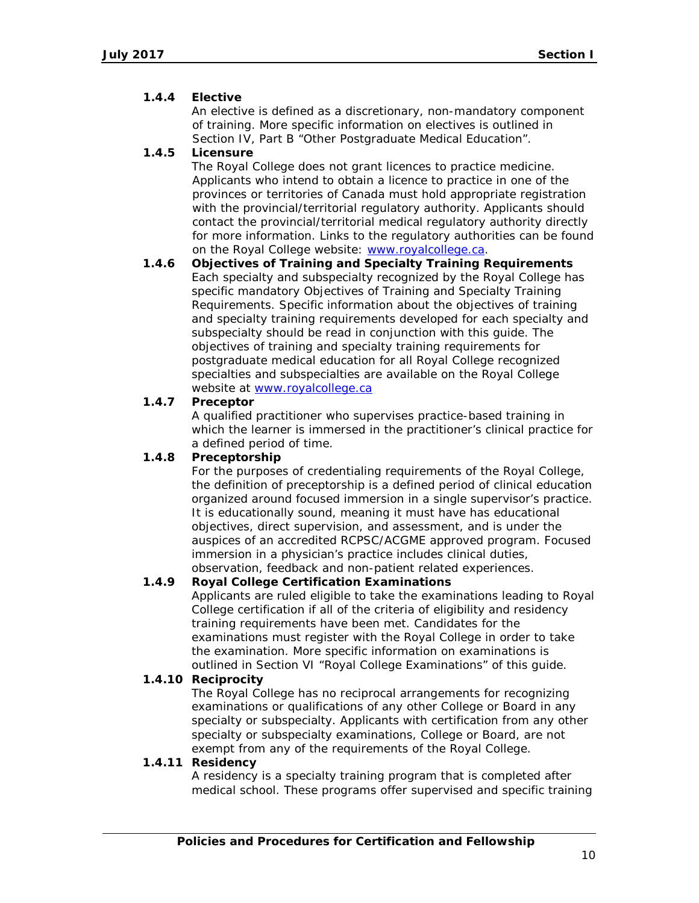# **1.4.4 Elective**

An elective is defined as a discretionary, non-mandatory component of training. More specific information on electives is outlined in Section IV, Part B "Other Postgraduate Medical Education".

# **1.4.5 Licensure**

The Royal College does not grant licences to practice medicine. Applicants who intend to obtain a licence to practice in one of the provinces or territories of Canada must hold appropriate registration with the provincial/territorial regulatory authority. Applicants should contact the provincial/territorial medical regulatory authority directly for more information. Links to the regulatory authorities can be found on the Royal College website: [www.royalcollege.ca.](http://www.royalcollege.ca/)

**1.4.6 Objectives of Training and Specialty Training Requirements** Each specialty and subspecialty recognized by the Royal College has specific mandatory Objectives of Training and Specialty Training Requirements. Specific information about the objectives of training and specialty training requirements developed for each specialty and subspecialty should be read in conjunction with this guide. The objectives of training and specialty training requirements for postgraduate medical education for all Royal College recognized specialties and subspecialties are available on the Royal College website at [www.royalcollege.ca](http://www.royalcollege.ca/)

# **1.4.7 Preceptor**

A qualified practitioner who supervises practice-based training in which the learner is immersed in the practitioner's clinical practice for a defined period of time.

# **1.4.8 Preceptorship**

For the purposes of credentialing requirements of the Royal College, the definition of preceptorship is a defined period of clinical education organized around focused immersion in a single supervisor's practice. It is educationally sound, meaning it must have has educational objectives, direct supervision, and assessment, and is under the auspices of an accredited RCPSC/ACGME approved program. Focused immersion in a physician's practice includes clinical duties, observation, feedback and non-patient related experiences.

# **1.4.9 Royal College Certification Examinations**

Applicants are ruled eligible to take the examinations leading to Royal College certification if all of the criteria of eligibility and residency training requirements have been met. Candidates for the examinations must register with the Royal College in order to take the examination. More specific information on examinations is outlined in Section VI "Royal College Examinations" of this guide.

# **1.4.10 Reciprocity**

The Royal College has no reciprocal arrangements for recognizing examinations or qualifications of any other College or Board in any specialty or subspecialty. Applicants with certification from any other specialty or subspecialty examinations, College or Board, are not exempt from any of the requirements of the Royal College.

# **1.4.11 Residency**

A residency is a specialty training program that is completed after medical school. These programs offer supervised and specific training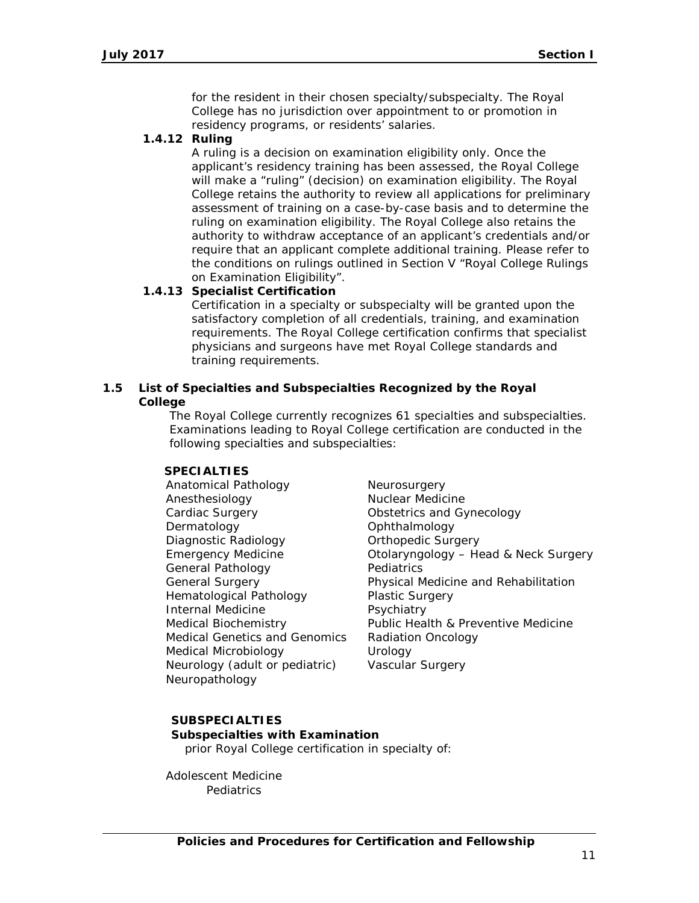for the resident in their chosen specialty/subspecialty. The Royal College has no jurisdiction over appointment to or promotion in residency programs, or residents' salaries.

# **1.4.12 Ruling**

A ruling is a decision on examination eligibility only. Once the applicant's residency training has been assessed, the Royal College will make a "ruling" (decision) on examination eligibility. The Royal College retains the authority to review all applications for preliminary assessment of training on a case-by-case basis and to determine the ruling on examination eligibility. The Royal College also retains the authority to withdraw acceptance of an applicant's credentials and/or require that an applicant complete additional training. Please refer to the conditions on rulings outlined in Section V "Royal College Rulings on Examination Eligibility".

# **1.4.13 Specialist Certification**

Certification in a specialty or subspecialty will be granted upon the satisfactory completion of all credentials, training, and examination requirements. The Royal College certification confirms that specialist physicians and surgeons have met Royal College standards and training requirements.

# **1.5 List of Specialties and Subspecialties Recognized by the Royal College**

The Royal College currently recognizes 61 specialties and subspecialties. Examinations leading to Royal College certification are conducted in the following specialties and subspecialties:

# **SPECIALTIES**

Anatomical Pathology Anesthesiology Cardiac Surgery Dermatology Diagnostic Radiology Emergency Medicine General Pathology General Surgery Hematological Pathology Internal Medicine Medical Biochemistry Medical Genetics and Genomics Medical Microbiology Neurology (adult or pediatric) Neuropathology

**Neurosurgery** Nuclear Medicine Obstetrics and Gynecology **Ophthalmology** Orthopedic Surgery Otolaryngology – Head & Neck Surgery Pediatrics Physical Medicine and Rehabilitation Plastic Surgery **Psychiatry** Public Health & Preventive Medicine Radiation Oncology Urology Vascular Surgery

# **SUBSPECIALTIES**

**Subspecialties with Examination** *prior Royal College certification in specialty of:*

Adolescent Medicine *Pediatrics*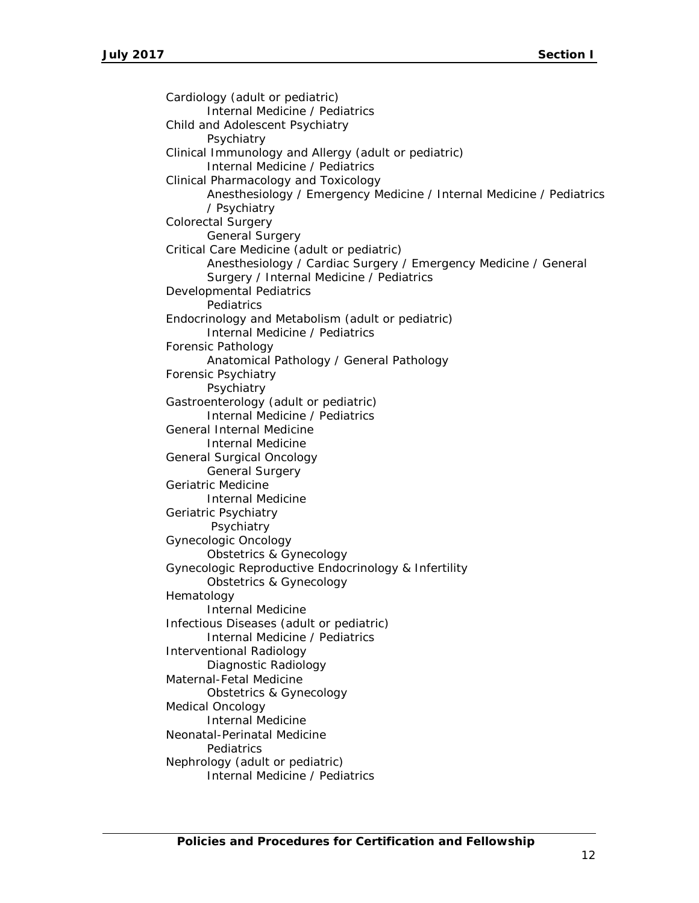Cardiology (adult or pediatric) *Internal Medicine / Pediatrics* Child and Adolescent Psychiatry *Psychiatry* Clinical Immunology and Allergy (adult or pediatric) *Internal Medicine / Pediatrics* Clinical Pharmacology and Toxicology *Anesthesiology / Emergency Medicine / Internal Medicine / Pediatrics / Psychiatry* Colorectal Surgery *General Surgery* Critical Care Medicine (adult or pediatric) *Anesthesiology / Cardiac Surgery / Emergency Medicine / General Surgery / Internal Medicine / Pediatrics* Developmental Pediatrics *Pediatrics* Endocrinology and Metabolism (adult or pediatric) *Internal Medicine / Pediatrics* Forensic Pathology *Anatomical Pathology / General Pathology* Forensic Psychiatry *Psychiatry* Gastroenterology (adult or pediatric) *Internal Medicine / Pediatrics* General Internal Medicine *Internal Medicine* General Surgical Oncology *General Surgery* Geriatric Medicine *Internal Medicine* Geriatric Psychiatry *Psychiatry* Gynecologic Oncology *Obstetrics & Gynecology* Gynecologic Reproductive Endocrinology & Infertility *Obstetrics & Gynecology* Hematology *Internal Medicine* Infectious Diseases (adult or pediatric) *Internal Medicine / Pediatrics* Interventional Radiology *Diagnostic Radiology* Maternal-Fetal Medicine *Obstetrics & Gynecology* Medical Oncology *Internal Medicine* Neonatal-Perinatal Medicine *Pediatrics* Nephrology (adult or pediatric) *Internal Medicine / Pediatrics*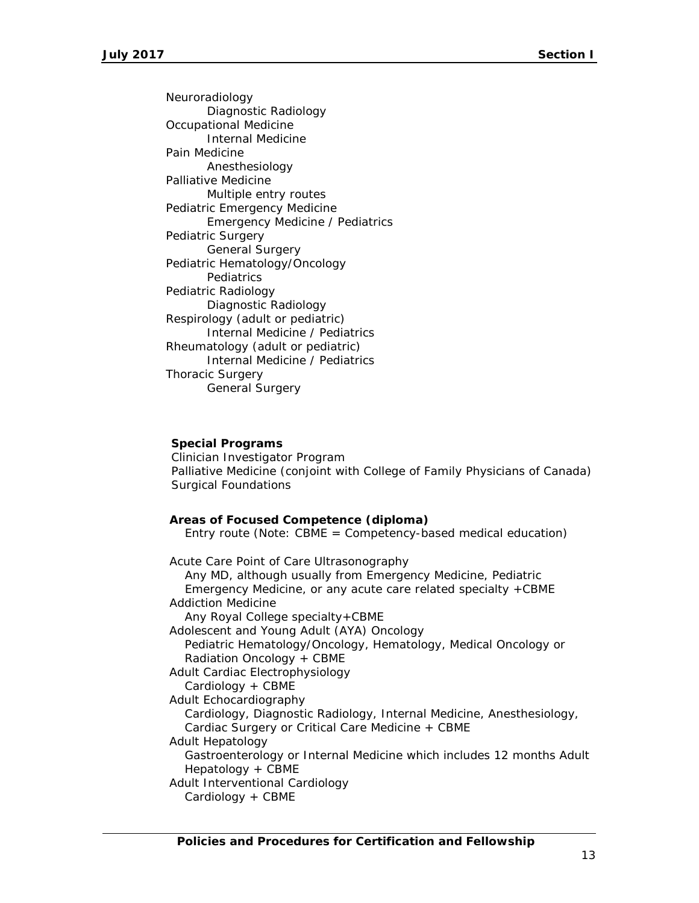Neuroradiology *Diagnostic Radiology* Occupational Medicine *Internal Medicine* Pain Medicine *Anesthesiology* Palliative Medicine *Multiple entry routes* Pediatric Emergency Medicine *Emergency Medicine / Pediatrics* Pediatric Surgery *General Surgery* Pediatric Hematology/Oncology *Pediatrics* Pediatric Radiology *Diagnostic Radiology* Respirology (adult or pediatric) *Internal Medicine / Pediatrics* Rheumatology (adult or pediatric) *Internal Medicine / Pediatrics* Thoracic Surgery *General Surgery*

#### **Special Programs**

Clinician Investigator Program Palliative Medicine (conjoint with College of Family Physicians of Canada) Surgical Foundations

#### **Areas of Focused Competence (diploma)**

*Entry route (Note: CBME = Competency-based medical education)*

Acute Care Point of Care Ultrasonography *Any MD, although usually from Emergency Medicine, Pediatric Emergency Medicine, or any acute care related specialty +CBME* Addiction Medicine *Any Royal College specialty+CBME* Adolescent and Young Adult (AYA) Oncology *Pediatric Hematology/Oncology, Hematology, Medical Oncology or Radiation Oncology + CBME* Adult Cardiac Electrophysiology *Cardiology + CBME* Adult Echocardiography *Cardiology, Diagnostic Radiology, Internal Medicine, Anesthesiology, Cardiac Surgery or Critical Care Medicine + CBME* Adult Hepatology *Gastroenterology or Internal Medicine which includes 12 months Adult Hepatology + CBME* Adult Interventional Cardiology *Cardiology + CBME*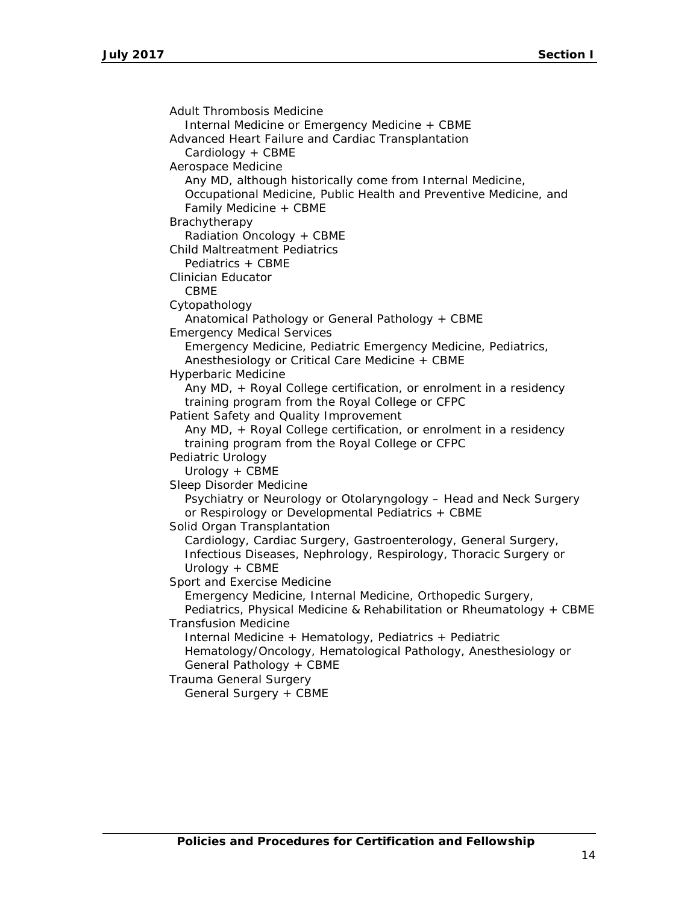Adult Thrombosis Medicine *Internal Medicine or Emergency Medicine + CBME* Advanced Heart Failure and Cardiac Transplantation *Cardiology + CBME* Aerospace Medicine *Any MD, although historically come from Internal Medicine, Occupational Medicine, Public Health and Preventive Medicine, and Family Medicine + CBME* Brachytherapy *Radiation Oncology + CBME* Child Maltreatment Pediatrics *Pediatrics + CBME* Clinician Educator *CBME* Cytopathology *Anatomical Pathology or General Pathology + CBME* Emergency Medical Services *Emergency Medicine, Pediatric Emergency Medicine, Pediatrics, Anesthesiology or Critical Care Medicine + CBME* Hyperbaric Medicine *Any MD, + Royal College certification, or enrolment in a residency training program from the Royal College or CFPC* Patient Safety and Quality Improvement *Any MD, + Royal College certification, or enrolment in a residency training program from the Royal College or CFPC* Pediatric Urology *Urology + CBME* Sleep Disorder Medicine *Psychiatry or Neurology or Otolaryngology – Head and Neck Surgery or Respirology or Developmental Pediatrics + CBME* Solid Organ Transplantation *Cardiology, Cardiac Surgery, Gastroenterology, General Surgery, Infectious Diseases, Nephrology, Respirology, Thoracic Surgery or Urology + CBME* Sport and Exercise Medicine *Emergency Medicine, Internal Medicine, Orthopedic Surgery, Pediatrics, Physical Medicine & Rehabilitation or Rheumatology + CBME* Transfusion Medicine *Internal Medicine + Hematology, Pediatrics + Pediatric Hematology/Oncology, Hematological Pathology, Anesthesiology or General Pathology + CBME* Trauma General Surgery *General Surgery + CBME*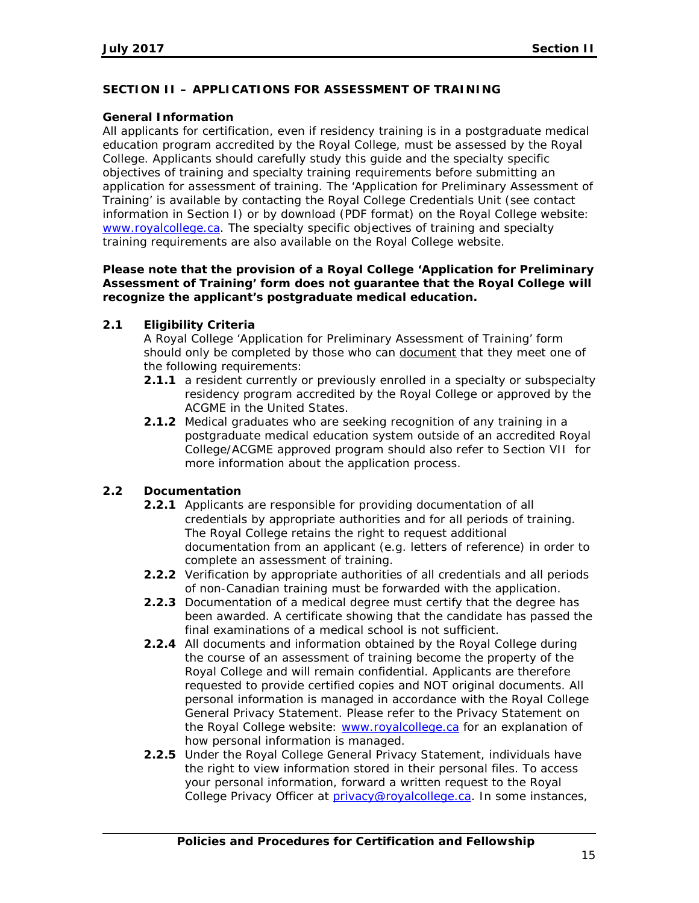# **SECTION II – APPLICATIONS FOR ASSESSMENT OF TRAINING**

# **General Information**

All applicants for certification, even if residency training is in a postgraduate medical education program accredited by the Royal College, must be assessed by the Royal College. Applicants should carefully study this guide and the specialty specific objectives of training and specialty training requirements before submitting an application for assessment of training. The 'Application for Preliminary Assessment of Training' is available by contacting the Royal College Credentials Unit (see contact information in Section I) or by download (PDF format) on the Royal College website: [www.royalcollege.ca.](http://www.royalcollege.ca/) The specialty specific objectives of training and specialty training requirements are also available on the Royal College website.

### **Please note that the provision of a Royal College 'Application for Preliminary Assessment of Training' form does not guarantee that the Royal College will recognize the applicant's postgraduate medical education.**

# **2.1 Eligibility Criteria**

A Royal College 'Application for Preliminary Assessment of Training' form should only be completed by those who can document that they meet one of the following requirements:

- **2.1.1** a resident currently or previously enrolled in a specialty or subspecialty residency program accredited by the Royal College or approved by the ACGME in the United States.
- **2.1.2** Medical graduates who are seeking recognition of any training in a postgraduate medical education system outside of an accredited Royal College/ACGME approved program should also refer to Section VII for more information about the application process.

# **2.2 Documentation**

- **2.2.1** Applicants are responsible for providing documentation of all credentials by appropriate authorities and for all periods of training. The Royal College retains the right to request additional documentation from an applicant (e.g. letters of reference) in order to complete an assessment of training.
- **2.2.2** Verification by appropriate authorities of all credentials and all periods of non-Canadian training must be forwarded with the application.
- **2.2.3** Documentation of a medical degree must certify that the degree has been awarded. A certificate showing that the candidate has passed the final examinations of a medical school is not sufficient.
- **2.2.4** All documents and information obtained by the Royal College during the course of an assessment of training become the property of the Royal College and will remain confidential. Applicants are therefore requested to provide certified copies and NOT original documents. All personal information is managed in accordance with the Royal College General Privacy Statement. Please refer to the Privacy Statement on the Royal College website: [www.royalcollege.ca](http://www.royalcollege.ca/) for an explanation of how personal information is managed.
- **2.2.5** Under the Royal College General Privacy Statement, individuals have the right to view information stored in their personal files. To access your personal information, forward a written request to the Royal College Privacy Officer at [privacy@royalcollege.ca.](mailto:privacy@royalcollege.ca) In some instances,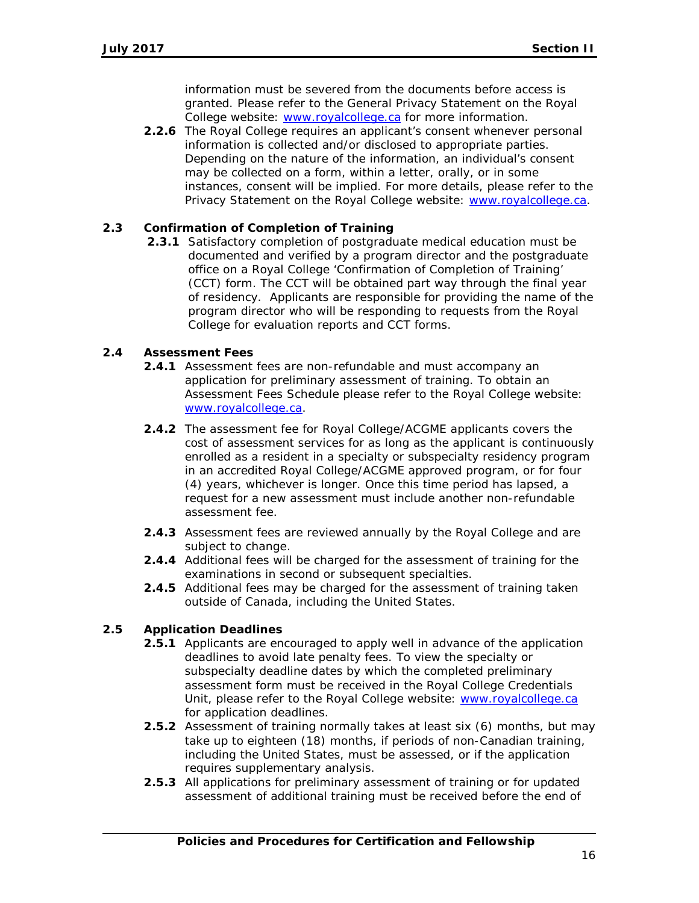information must be severed from the documents before access is granted. Please refer to the General Privacy Statement on the Royal College website: [www.royalcollege.ca](http://www.royalcollege.ca/) for more information.

**2.2.6** The Royal College requires an applicant's consent whenever personal information is collected and/or disclosed to appropriate parties. Depending on the nature of the information, an individual's consent may be collected on a form, within a letter, orally, or in some instances, consent will be implied. For more details, please refer to the Privacy Statement on the Royal College website: [www.royalcollege.ca.](http://www.royalcollege.ca/)

# **2.3 Confirmation of Completion of Training**

**2.3.1** Satisfactory completion of postgraduate medical education must be documented and verified by a program director and the postgraduate office on a Royal College 'Confirmation of Completion of Training' (CCT) form. The CCT will be obtained part way through the final year of residency. Applicants are responsible for providing the name of the program director who will be responding to requests from the Royal College for evaluation reports and CCT forms.

# **2.4 Assessment Fees**

- **2.4.1** Assessment fees are non-refundable and must accompany an application for preliminary assessment of training. To obtain an Assessment Fees Schedule please refer to the Royal College website: [www.royalcollege.ca.](http://www.royalcollege.ca/)
- **2.4.2** The assessment fee for Royal College/ACGME applicants covers the cost of assessment services for as long as the applicant is continuously enrolled as a resident in a specialty or subspecialty residency program in an accredited Royal College/ACGME approved program, or for four (4) years, whichever is longer. Once this time period has lapsed, a request for a new assessment must include another non-refundable assessment fee.
- **2.4.3** Assessment fees are reviewed annually by the Royal College and are subject to change.
- **2.4.4** *Additional fees* will be charged for the assessment of training for the examinations in second or subsequent specialties.
- **2.4.5** *Additional fees* may be charged for the assessment of training taken outside of Canada, including the United States.

# **2.5 Application Deadlines**

- **2.5.1** Applicants are encouraged to apply well in advance of the application deadlines to avoid late penalty fees. To view the specialty or subspecialty deadline dates by which the completed preliminary assessment form must be received in the Royal College Credentials Unit, please refer to the Royal College website: [www.royalcollege.ca](http://www.royalcollege.ca/) for application deadlines.
- **2.5.2** Assessment of training normally takes at least six (6) months, but may take up to eighteen (18) months, if periods of non-Canadian training, including the United States, must be assessed, or if the application requires supplementary analysis.
- **2.5.3** All applications for preliminary assessment of training or for updated assessment of additional training must be received before the end of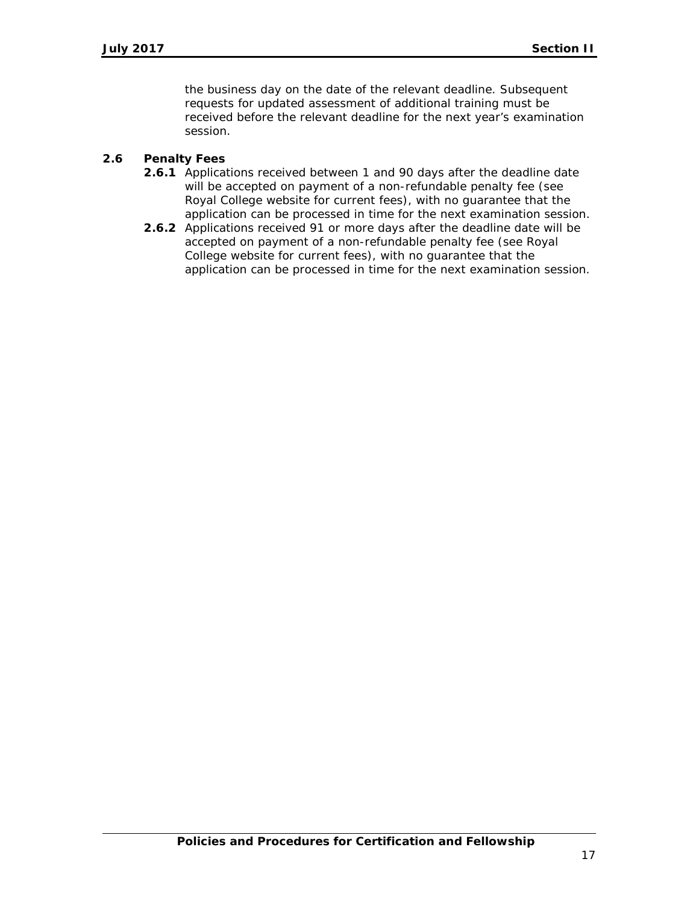the business day on the date of the relevant deadline. Subsequent requests for updated assessment of additional training must be received before the relevant deadline for the next year's examination session.

### **2.6 Penalty Fees**

- **2.6.1** Applications received between 1 and 90 days after the deadline date will be accepted on payment of a non-refundable penalty fee (see Royal College website for current fees), with no guarantee that the application can be processed in time for the next examination session.
- **2.6.2** Applications received 91 or more days after the deadline date will be accepted on payment of a non-refundable penalty fee (see Royal College website for current fees), with no guarantee that the application can be processed in time for the next examination session.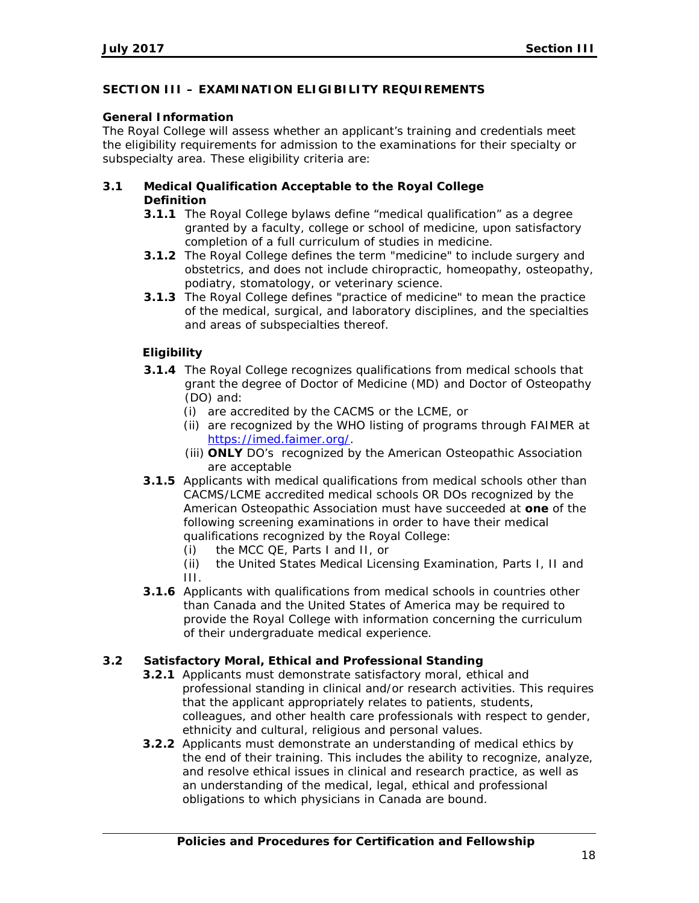### **SECTION III – EXAMINATION ELIGIBILITY REQUIREMENTS**

#### **General Information**

The Royal College will assess whether an applicant's training and credentials meet the eligibility requirements for admission to the examinations for their specialty or subspecialty area. These eligibility criteria are:

### **3.1 Medical Qualification Acceptable to the Royal College Definition**

- **3.1.1** The Royal College bylaws define "medical qualification" as a degree granted by a faculty, college or school of medicine, upon satisfactory completion of a full curriculum of studies in medicine.
- **3.1.2** The Royal College defines the term "medicine" to include surgery and obstetrics, and does not include chiropractic, homeopathy, osteopathy, podiatry, stomatology, or veterinary science.
- **3.1.3** The Royal College defines "practice of medicine" to mean the practice of the medical, surgical, and laboratory disciplines, and the specialties and areas of subspecialties thereof.

### **Eligibility**

- **3.1.4** The Royal College recognizes qualifications from medical schools that grant the degree of Doctor of Medicine (MD) and Doctor of Osteopathy (DO) and:
	- (i) are accredited by the CACMS or the LCME, or
	- (ii) are recognized by the WHO listing of programs through FAIMER at [https://imed.faimer.org/.](https://imed.faimer.org/)
	- (iii) **ONLY** DO's recognized by the American Osteopathic Association are acceptable
- **3.1.5** Applicants with medical qualifications from medical schools other than CACMS/LCME accredited medical schools OR DOs recognized by the American Osteopathic Association must have succeeded at **one** of the following screening examinations in order to have their medical qualifications recognized by the Royal College:
	- (i) the MCC QE, Parts I and II, or
	- (ii) the United States Medical Licensing Examination, Parts I, II and III.
- **3.1.6** Applicants with qualifications from medical schools in countries other than Canada and the United States of America may be required to provide the Royal College with information concerning the curriculum of their undergraduate medical experience.

#### **3.2 Satisfactory Moral, Ethical and Professional Standing**

- **3.2.1** Applicants must demonstrate satisfactory moral, ethical and professional standing in clinical and/or research activities. This requires that the applicant appropriately relates to patients, students, colleagues, and other health care professionals with respect to gender, ethnicity and cultural, religious and personal values.
- **3.2.2** Applicants must demonstrate an understanding of medical ethics by the end of their training. This includes the ability to recognize, analyze, and resolve ethical issues in clinical and research practice, as well as an understanding of the medical, legal, ethical and professional obligations to which physicians in Canada are bound.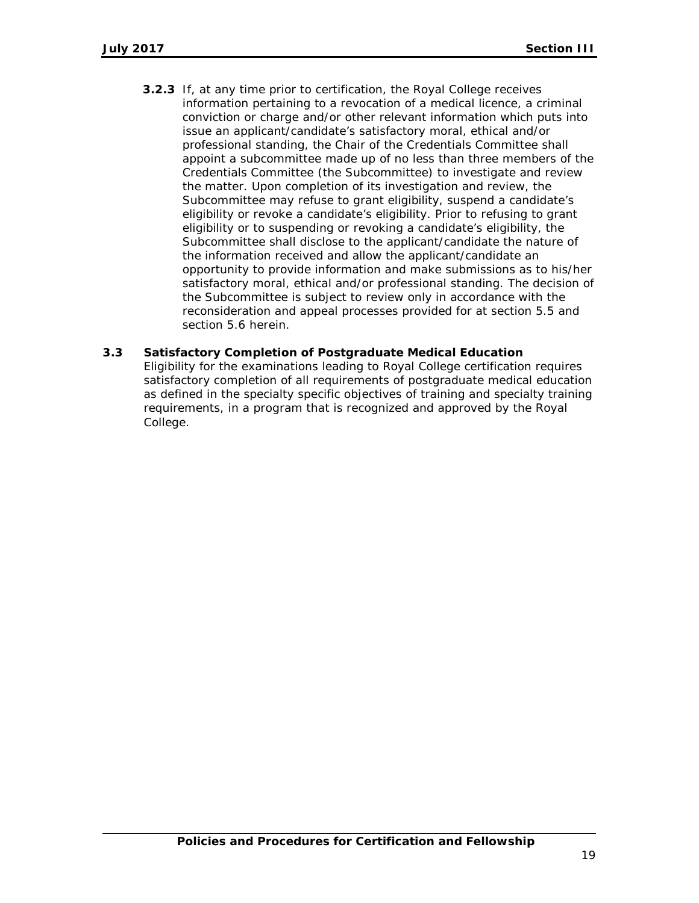- **3.2.3** If, at any time prior to certification, the Royal College receives information pertaining to a revocation of a medical licence, a criminal conviction or charge and/or other relevant information which puts into issue an applicant/candidate's satisfactory moral, ethical and/or professional standing, the Chair of the Credentials Committee shall appoint a subcommittee made up of no less than three members of the Credentials Committee (the Subcommittee) to investigate and review the matter. Upon completion of its investigation and review, the Subcommittee may refuse to grant eligibility, suspend a candidate's eligibility or revoke a candidate's eligibility. Prior to refusing to grant eligibility or to suspending or revoking a candidate's eligibility, the Subcommittee shall disclose to the applicant/candidate the nature of the information received and allow the applicant/candidate an opportunity to provide information and make submissions as to his/her satisfactory moral, ethical and/or professional standing. The decision of the Subcommittee is subject to review only in accordance with the reconsideration and appeal processes provided for at section 5.5 and section 5.6 herein.
- **3.3 Satisfactory Completion of Postgraduate Medical Education** Eligibility for the examinations leading to Royal College certification requires satisfactory completion of all requirements of postgraduate medical education as defined in the specialty specific objectives of training and specialty training requirements, in a program that is recognized and approved by the Royal College.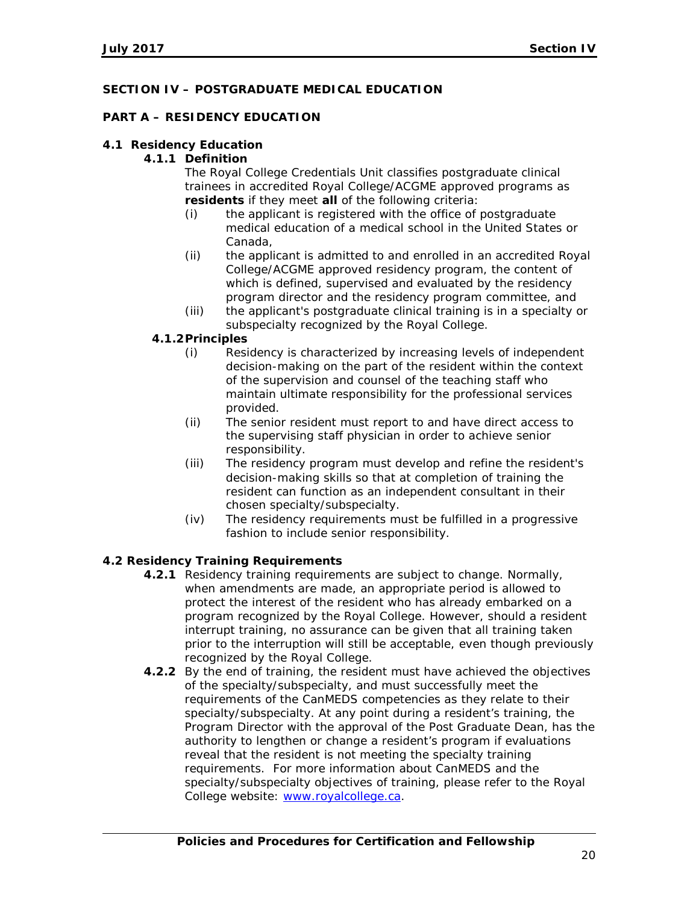# **SECTION IV – POSTGRADUATE MEDICAL EDUCATION**

# **PART A – RESIDENCY EDUCATION**

# **4.1 Residency Education**

# **4.1.1 Definition**

The Royal College Credentials Unit classifies postgraduate clinical trainees in accredited Royal College/ACGME approved programs as **residents** if they meet **all** of the following criteria:

- (i) the applicant is registered with the office of postgraduate medical education of a medical school in the United States or Canada,
- (ii) the applicant is admitted to and enrolled in an accredited Royal College/ACGME approved residency program, the content of which is defined, supervised and evaluated by the residency program director and the residency program committee, and
- (iii) the applicant's postgraduate clinical training is in a specialty or subspecialty recognized by the Royal College.

# **4.1.2Principles**

- (i) Residency is characterized by increasing levels of independent decision-making on the part of the resident within the context of the supervision and counsel of the teaching staff who maintain ultimate responsibility for the professional services provided.
- (ii) The senior resident must report to and have direct access to the supervising staff physician in order to achieve senior responsibility.
- (iii) The residency program must develop and refine the resident's decision-making skills so that at completion of training the resident can function as an independent consultant in their chosen specialty/subspecialty.
- (iv) The residency requirements must be fulfilled in a progressive fashion to include senior responsibility.

# **4.2 Residency Training Requirements**

- **4.2.1** Residency training requirements are subject to change. Normally, when amendments are made, an appropriate period is allowed to protect the interest of the resident who has already embarked on a program recognized by the Royal College. However, should a resident interrupt training, no assurance can be given that all training taken prior to the interruption will still be acceptable, even though previously recognized by the Royal College.
- **4.2.2** By the end of training, the resident must have achieved the objectives of the specialty/subspecialty, and must successfully meet the requirements of the CanMEDS competencies as they relate to their specialty/subspecialty. At any point during a resident's training, the Program Director with the approval of the Post Graduate Dean, has the authority to lengthen or change a resident's program if evaluations reveal that the resident is not meeting the specialty training requirements. For more information about CanMEDS and the specialty/subspecialty objectives of training, please refer to the Royal College website: [www.royalcollege.ca.](http://www.royalcollege.ca/)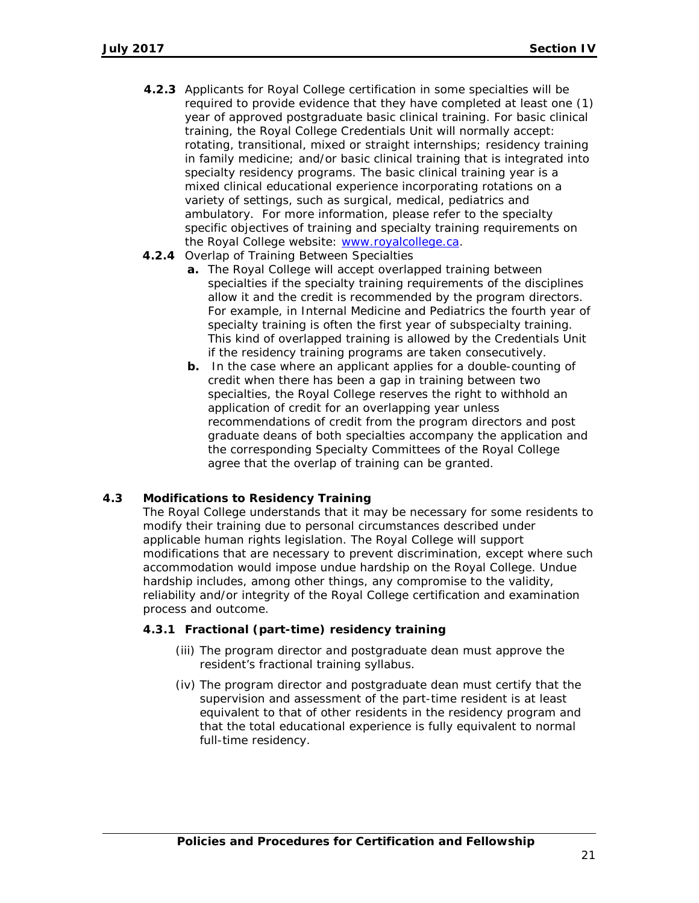- **4.2.3** Applicants for Royal College certification in some specialties will be required to provide evidence that they have completed at least one (1) year of approved postgraduate basic clinical training. For basic clinical training, the Royal College Credentials Unit will normally accept: rotating, transitional, mixed or straight internships; residency training in family medicine; and/or basic clinical training that is integrated into specialty residency programs. The basic clinical training year is a mixed clinical educational experience incorporating rotations on a variety of settings, such as surgical, medical, pediatrics and ambulatory. For more information, please refer to the specialty specific objectives of training and specialty training requirements on the Royal College website: [www.royalcollege.ca.](http://www.royalcollege.ca/)
- **4.2.4** Overlap of Training Between Specialties
	- **a.** The Royal College will accept overlapped training between specialties if the specialty training requirements of the disciplines allow it and the credit is recommended by the program directors. For example, in Internal Medicine and Pediatrics the fourth year of specialty training is often the first year of subspecialty training. This kind of overlapped training is allowed by the Credentials Unit if the residency training programs are taken consecutively.
	- **b.** In the case where an applicant applies for a double-counting of credit when there has been a gap in training between two specialties, the Royal College reserves the right to withhold an application of credit for an overlapping year unless recommendations of credit from the program directors and post graduate deans of both specialties accompany the application and the corresponding Specialty Committees of the Royal College agree that the overlap of training can be granted.

# **4.3 Modifications to Residency Training**

The Royal College understands that it may be necessary for some residents to modify their training due to personal circumstances described under applicable human rights legislation. The Royal College will support modifications that are necessary to prevent discrimination, except where such accommodation would impose undue hardship on the Royal College. Undue hardship includes, among other things, any compromise to the validity, reliability and/or integrity of the Royal College certification and examination process and outcome.

#### **4.3.1 Fractional (part-time) residency training**

- (iii) The program director and postgraduate dean must approve the resident's fractional training syllabus.
- (iv) The program director and postgraduate dean must certify that the supervision and assessment of the part-time resident is at least equivalent to that of other residents in the residency program and that the total educational experience is fully equivalent to normal full-time residency.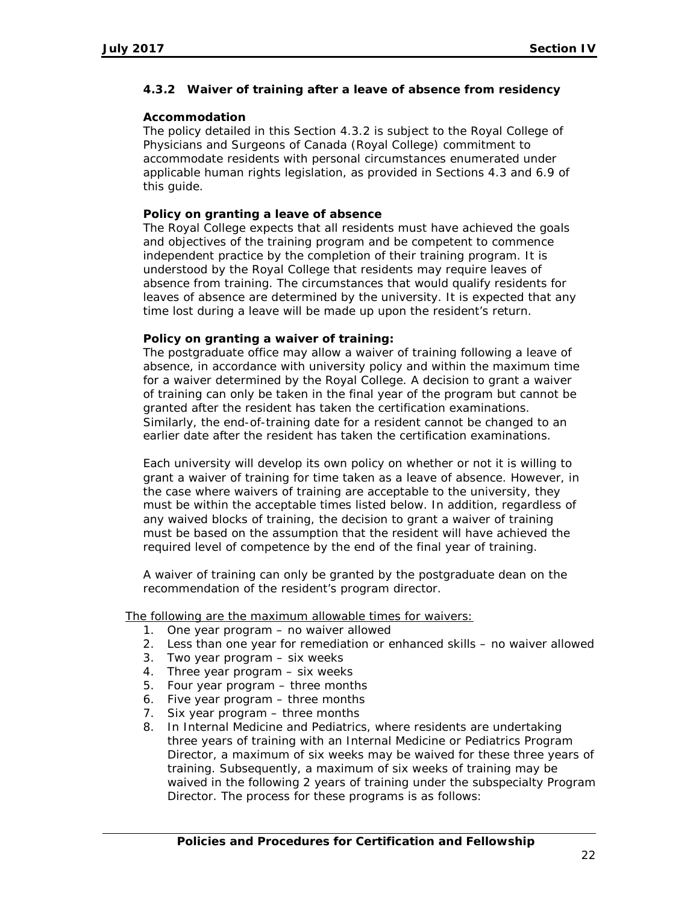### **4.3.2 Waiver of training after a leave of absence from residency**

#### **Accommodation**

The policy detailed in this Section 4.3.2 is subject to the Royal College of Physicians and Surgeons of Canada (Royal College) commitment to accommodate residents with personal circumstances enumerated under applicable human rights legislation, as provided in Sections 4.3 and 6.9 of this guide.

#### **Policy on granting a leave of absence**

The Royal College expects that all residents must have achieved the goals and objectives of the training program and be competent to commence independent practice by the completion of their training program. It is understood by the Royal College that residents may require leaves of absence from training. The circumstances that would qualify residents for leaves of absence are determined by the university. It is expected that any time lost during a leave will be made up upon the resident's return.

# **Policy on granting a waiver of training:**

The postgraduate office may allow a waiver of training following a leave of absence, in accordance with university policy and within the maximum time for a waiver determined by the Royal College. A decision to grant a waiver of training can only be taken in the final year of the program but cannot be granted after the resident has taken the certification examinations. Similarly, the end-of-training date for a resident cannot be changed to an earlier date after the resident has taken the certification examinations.

Each university will develop its own policy on whether or not it is willing to grant a waiver of training for time taken as a leave of absence. However, in the case where waivers of training are acceptable to the university, they must be within the acceptable times listed below. In addition, regardless of any waived blocks of training, the decision to grant a waiver of training must be based on the assumption that the resident will have achieved the required level of competence by the end of the final year of training.

A waiver of training can only be granted by the postgraduate dean on the recommendation of the resident's program director.

The following are the maximum allowable times for waivers:

- 1. One year program no waiver allowed
- 2. Less than one year for remediation or enhanced skills no waiver allowed
- 3. Two year program six weeks
- 4. Three year program six weeks
- 5. Four year program three months
- 6. Five year program three months
- 7. Six year program three months
- 8. In Internal Medicine and Pediatrics, where residents are undertaking three years of training with an Internal Medicine or Pediatrics Program Director, a maximum of six weeks may be waived for these three years of training. Subsequently, a maximum of six weeks of training may be waived in the following 2 years of training under the subspecialty Program Director. The process for these programs is as follows: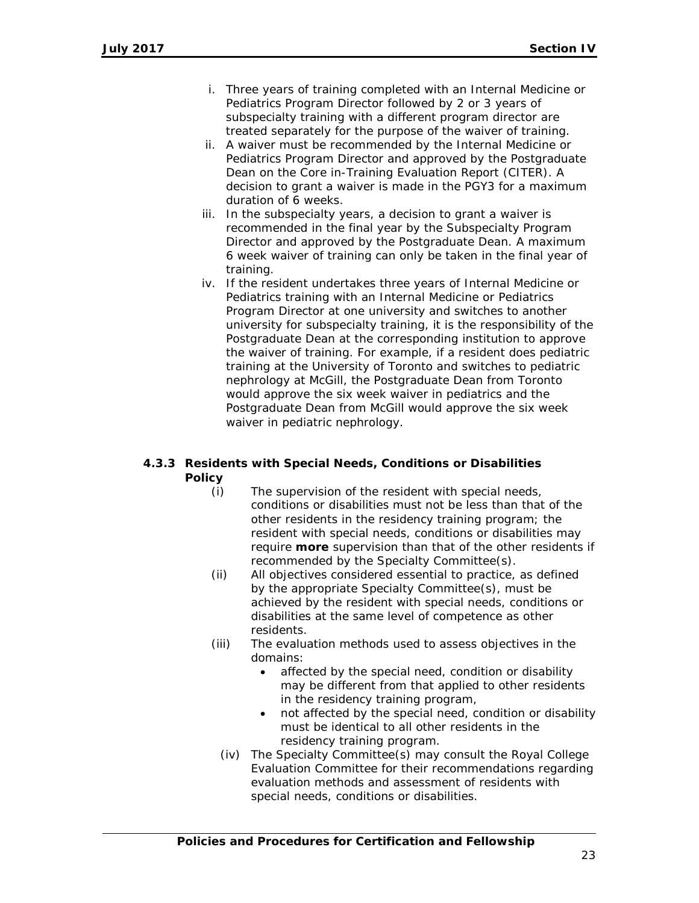- i. Three years of training completed with an Internal Medicine or Pediatrics Program Director followed by 2 or 3 years of subspecialty training with a different program director are treated separately for the purpose of the waiver of training.
- ii. A waiver must be recommended by the Internal Medicine or Pediatrics Program Director and approved by the Postgraduate Dean on the Core in-Training Evaluation Report (CITER). A decision to grant a waiver is made in the PGY3 for a maximum duration of 6 weeks.
- iii. In the subspecialty years, a decision to grant a waiver is recommended in the final year by the Subspecialty Program Director and approved by the Postgraduate Dean. A maximum 6 week waiver of training can only be taken in the final year of training.
- iv. If the resident undertakes three years of Internal Medicine or Pediatrics training with an Internal Medicine or Pediatrics Program Director at one university and switches to another university for subspecialty training, it is the responsibility of the Postgraduate Dean at the corresponding institution to approve the waiver of training. For example, if a resident does pediatric training at the University of Toronto and switches to pediatric nephrology at McGill, the Postgraduate Dean from Toronto would approve the six week waiver in pediatrics and the Postgraduate Dean from McGill would approve the six week waiver in pediatric nephrology.

### **4.3.3 Residents with Special Needs, Conditions or Disabilities Policy**

- (i) The supervision of the resident with special needs, conditions or disabilities must not be less than that of the other residents in the residency training program; the resident with special needs, conditions or disabilities may require **more** supervision than that of the other residents if recommended by the Specialty Committee(s).
- (ii) All objectives considered essential to practice, as defined by the appropriate Specialty Committee(s), must be achieved by the resident with special needs, conditions or disabilities at the same level of competence as other residents.
- (iii) The evaluation methods used to assess objectives in the domains:
	- affected by the special need, condition or disability may be different from that applied to other residents in the residency training program,
	- not affected by the special need, condition or disability must be identical to all other residents in the residency training program.
	- (iv) The Specialty Committee(s) may consult the Royal College Evaluation Committee for their recommendations regarding evaluation methods and assessment of residents with special needs, conditions or disabilities.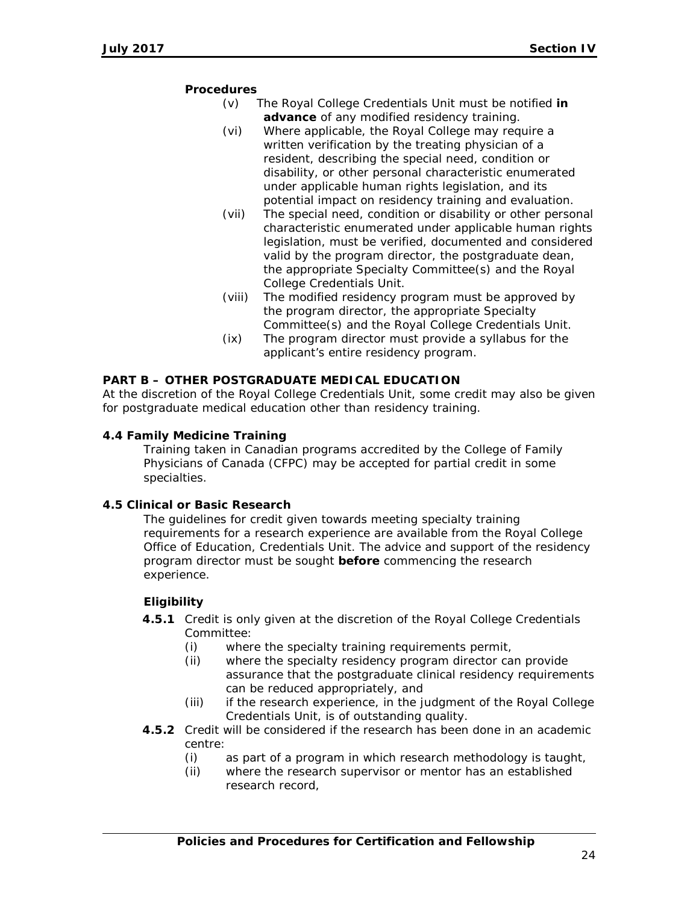#### **Procedures**

- (v) The Royal College Credentials Unit must be notified **in advance** of any modified residency training.
- (vi) Where applicable, the Royal College may require a written verification by the treating physician of a resident, describing the special need, condition or disability, or other personal characteristic enumerated under applicable human rights legislation, and its potential impact on residency training and evaluation.
- (vii) The special need, condition or disability or other personal characteristic enumerated under applicable human rights legislation, must be verified, documented and considered valid by the program director, the postgraduate dean, the appropriate Specialty Committee(s) and the Royal College Credentials Unit.
- (viii) The modified residency program must be approved by the program director, the appropriate Specialty Committee(s) and the Royal College Credentials Unit.
- (ix) The program director must provide a syllabus for the applicant's entire residency program.

### **PART B – OTHER POSTGRADUATE MEDICAL EDUCATION**

At the discretion of the Royal College Credentials Unit, some credit may also be given for postgraduate medical education other than residency training.

#### **4.4 Family Medicine Training**

Training taken in Canadian programs accredited by the College of Family Physicians of Canada (CFPC) may be accepted for partial credit in some specialties.

#### **4.5 Clinical or Basic Research**

The guidelines for credit given towards meeting specialty training requirements for a research experience are available from the Royal College Office of Education, Credentials Unit. The advice and support of the residency program director must be sought **before** commencing the research experience.

# **Eligibility**

- **4.5.1** Credit is only given at the discretion of the Royal College Credentials Committee:
	- (i) where the specialty training requirements permit,
	- (ii) where the specialty residency program director can provide assurance that the postgraduate clinical residency requirements can be reduced appropriately, and
	- (iii) if the research experience, in the judgment of the Royal College Credentials Unit, is of outstanding quality.
- **4.5.2** Credit will be considered if the research has been done in an academic centre:
	- (i) as part of a program in which research methodology is taught,
	- (ii) where the research supervisor or mentor has an established research record,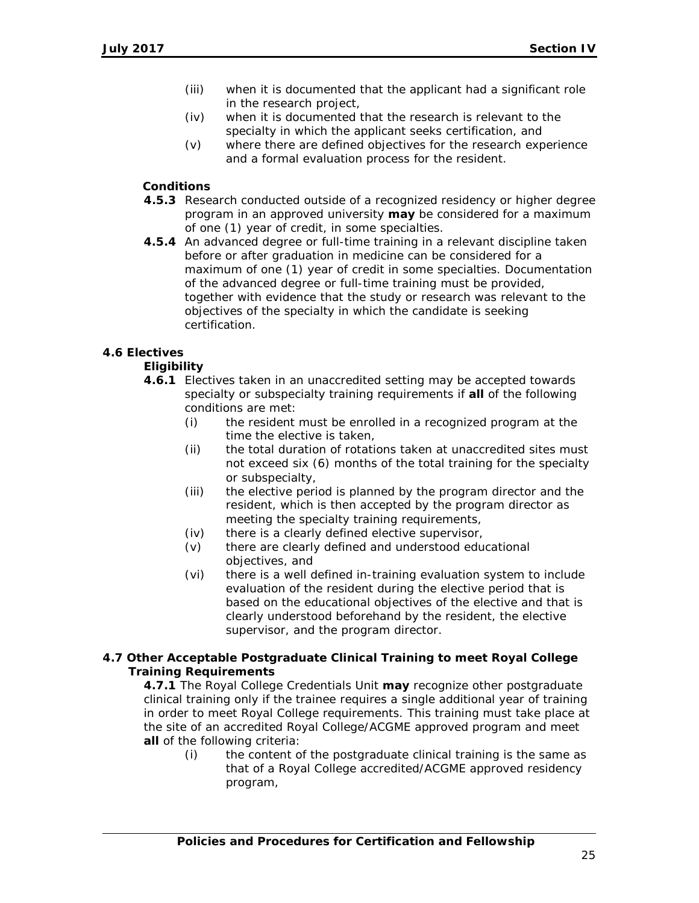- (iii) when it is documented that the applicant had a significant role in the research project,
- (iv) when it is documented that the research is relevant to the specialty in which the applicant seeks certification, and
- (v) where there are defined objectives for the research experience and a formal evaluation process for the resident.

# **Conditions**

- **4.5.3** Research conducted outside of a recognized residency or higher degree program in an approved university **may** be considered for a maximum of one (1) year of credit, in some specialties.
- **4.5.4** An advanced degree or full-time training in a relevant discipline taken before or after graduation in medicine can be considered for a maximum of one (1) year of credit in some specialties. Documentation of the advanced degree or full-time training must be provided, together with evidence that the study or research was relevant to the objectives of the specialty in which the candidate is seeking certification.

### **4.6 Electives**

#### **Eligibility**

- **4.6.1** Electives taken in an unaccredited setting may be accepted towards specialty or subspecialty training requirements if **all** of the following conditions are met:
	- (i) the resident must be enrolled in a recognized program at the time the elective is taken,
	- (ii) the total duration of rotations taken at unaccredited sites must not exceed six (6) months of the total training for the specialty or subspecialty,
	- (iii) the elective period is planned by the program director and the resident, which is then accepted by the program director as meeting the specialty training requirements,
	- (iv) there is a clearly defined elective supervisor,
	- (v) there are clearly defined and understood educational objectives, and
	- (vi) there is a well defined in-training evaluation system to include evaluation of the resident during the elective period that is based on the educational objectives of the elective and that is clearly understood beforehand by the resident, the elective supervisor, and the program director.

### **4.7 Other Acceptable Postgraduate Clinical Training to meet Royal College Training Requirements**

**4.7.1** The Royal College Credentials Unit **may** recognize other postgraduate clinical training only if the trainee requires a single additional year of training in order to meet Royal College requirements. This training must take place at the site of an accredited Royal College/ACGME approved program and meet **all** of the following criteria:

(i) the content of the postgraduate clinical training is the same as that of a Royal College accredited/ACGME approved residency program,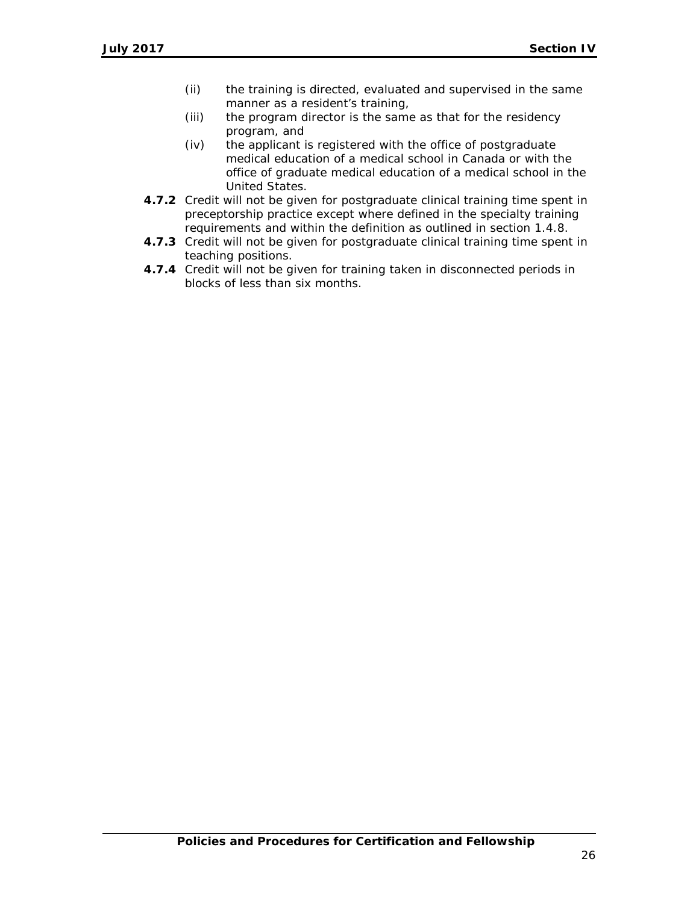- (ii) the training is directed, evaluated and supervised in the same manner as a resident's training,
- (iii) the program director is the same as that for the residency program, and
- (iv) the applicant is registered with the office of postgraduate medical education of a medical school in Canada or with the office of graduate medical education of a medical school in the United States.
- **4.7.2** Credit will not be given for postgraduate clinical training time spent in preceptorship practice except where defined in the specialty training requirements and within the definition as outlined in section 1.4.8.
- **4.7.3** Credit will not be given for postgraduate clinical training time spent in teaching positions.
- **4.7.4** Credit will not be given for training taken in disconnected periods in blocks of less than six months.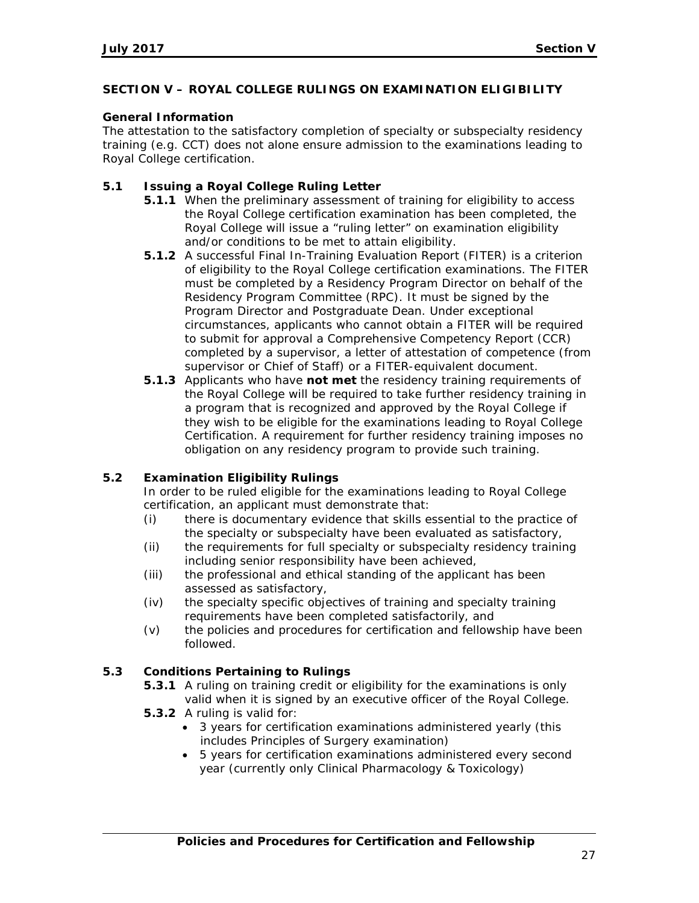### **SECTION V – ROYAL COLLEGE RULINGS ON EXAMINATION ELIGIBILITY**

### **General Information**

The attestation to the satisfactory completion of specialty or subspecialty residency training (e.g. CCT) does not alone ensure admission to the examinations leading to Royal College certification.

# **5.1 Issuing a Royal College Ruling Letter**

- **5.1.1** When the preliminary assessment of training for eligibility to access the Royal College certification examination has been completed, the Royal College will issue a "ruling letter" on examination eligibility and/or conditions to be met to attain eligibility.
- **5.1.2** A successful Final In-Training Evaluation Report (FITER) is a criterion of eligibility to the Royal College certification examinations. The FITER must be completed by a Residency Program Director on behalf of the Residency Program Committee (RPC). It must be signed by the Program Director and Postgraduate Dean. Under exceptional circumstances, applicants who cannot obtain a FITER will be required to submit for approval a Comprehensive Competency Report (CCR) completed by a supervisor, a letter of attestation of competence (from supervisor or Chief of Staff) or a FITER-equivalent document.
- **5.1.3** Applicants who have **not met** the residency training requirements of the Royal College will be required to take further residency training in a program that is recognized and approved by the Royal College if they wish to be eligible for the examinations leading to Royal College Certification. A requirement for further residency training imposes no obligation on any residency program to provide such training.

# **5.2 Examination Eligibility Rulings**

In order to be ruled eligible for the examinations leading to Royal College certification, an applicant must demonstrate that:

- (i) there is documentary evidence that skills essential to the practice of the specialty or subspecialty have been evaluated as satisfactory,
- (ii) the requirements for full specialty or subspecialty residency training including senior responsibility have been achieved,
- (iii) the professional and ethical standing of the applicant has been assessed as satisfactory,
- (iv) the specialty specific objectives of training and specialty training requirements have been completed satisfactorily, and
- (v) the policies and procedures for certification and fellowship have been followed.

# **5.3 Conditions Pertaining to Rulings**

**5.3.1** A ruling on training credit or eligibility for the examinations is only valid when it is signed by an executive officer of the Royal College.

- **5.3.2** A ruling is valid for:
	- 3 years for certification examinations administered yearly (this includes Principles of Surgery examination)
	- 5 years for certification examinations administered every second year (currently only Clinical Pharmacology & Toxicology)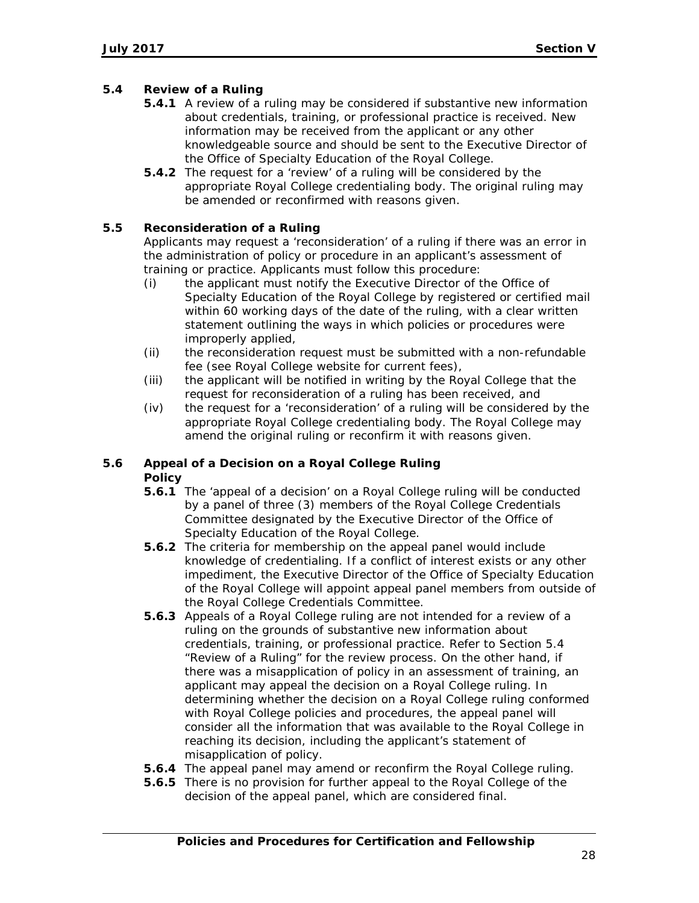# **5.4 Review of a Ruling**

- **5.4.1** A review of a ruling may be considered if substantive new information about credentials, training, or professional practice is received. New information may be received from the applicant or any other knowledgeable source and should be sent to the Executive Director of the Office of Specialty Education of the Royal College.
- **5.4.2** The request for a 'review' of a ruling will be considered by the appropriate Royal College credentialing body. The original ruling may be amended or reconfirmed with reasons given.

# **5.5 Reconsideration of a Ruling**

Applicants may request a 'reconsideration' of a ruling if there was an error in the administration of policy or procedure in an applicant's assessment of training or practice. Applicants must follow this procedure:

- (i) the applicant must notify the Executive Director of the Office of Specialty Education of the Royal College by registered or certified mail within 60 working days of the date of the ruling, with a clear written statement outlining the ways in which policies or procedures were improperly applied,
- (ii) the reconsideration request must be submitted with a non-refundable fee (see Royal College website for current fees),
- (iii) the applicant will be notified in writing by the Royal College that the request for reconsideration of a ruling has been received, and
- (iv) the request for a 'reconsideration' of a ruling will be considered by the appropriate Royal College credentialing body. The Royal College may amend the original ruling or reconfirm it with reasons given.

# **5.6 Appeal of a Decision on a Royal College Ruling Policy**

- **5.6.1** The 'appeal of a decision' on a Royal College ruling will be conducted by a panel of three (3) members of the Royal College Credentials Committee designated by the Executive Director of the Office of Specialty Education of the Royal College.
- **5.6.2** The criteria for membership on the appeal panel would include knowledge of credentialing. If a conflict of interest exists or any other impediment, the Executive Director of the Office of Specialty Education of the Royal College will appoint appeal panel members from outside of the Royal College Credentials Committee.
- **5.6.3** Appeals of a Royal College ruling are not intended for a review of a ruling on the grounds of substantive new information about credentials, training, or professional practice. Refer to Section 5.4 "Review of a Ruling" for the review process. On the other hand, if there was a misapplication of policy in an assessment of training, an applicant may appeal the decision on a Royal College ruling. In determining whether the decision on a Royal College ruling conformed with Royal College policies and procedures, the appeal panel will consider all the information that was available to the Royal College in reaching its decision, including the applicant's statement of misapplication of policy.
- **5.6.4** The appeal panel may amend or reconfirm the Royal College ruling.
- **5.6.5** There is no provision for further appeal to the Royal College of the decision of the appeal panel, which are considered final.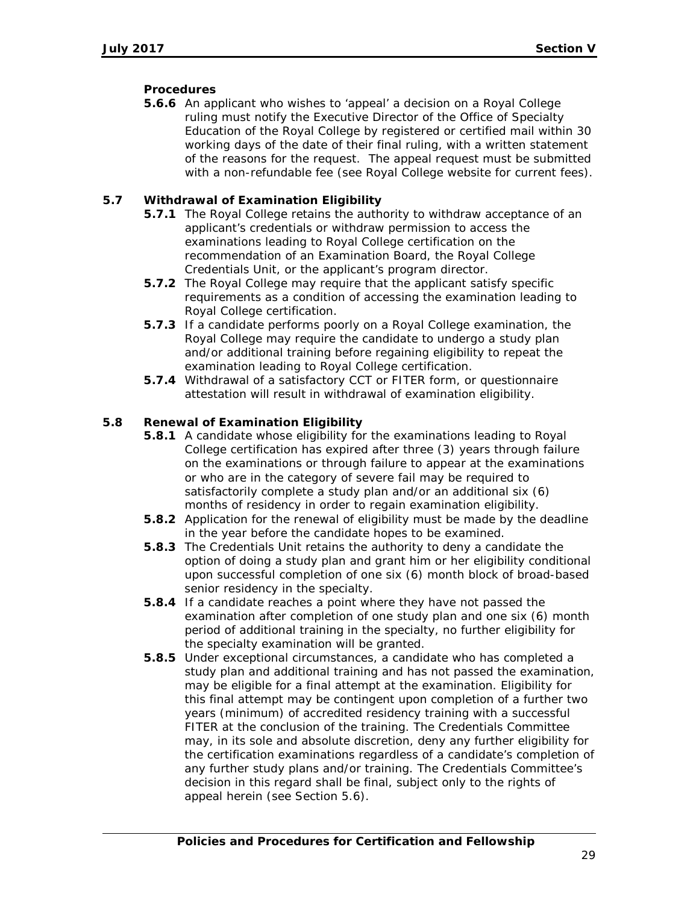# **Procedures**

**5.6.6** An applicant who wishes to 'appeal' a decision on a Royal College ruling must notify the Executive Director of the Office of Specialty Education of the Royal College by registered or certified mail within 30 working days of the date of their final ruling, with a written statement of the reasons for the request. The appeal request must be submitted with a non-refundable fee (see Royal College website for current fees).

# **5.7 Withdrawal of Examination Eligibility**

- **5.7.1** The Royal College retains the authority to withdraw acceptance of an applicant's credentials or withdraw permission to access the examinations leading to Royal College certification on the recommendation of an Examination Board, the Royal College Credentials Unit, or the applicant's program director.
- **5.7.2** The Royal College may require that the applicant satisfy specific requirements as a condition of accessing the examination leading to Royal College certification.
- **5.7.3** If a candidate performs poorly on a Royal College examination, the Royal College may require the candidate to undergo a study plan and/or additional training before regaining eligibility to repeat the examination leading to Royal College certification.
- **5.7.4** Withdrawal of a satisfactory CCT or FITER form, or questionnaire attestation will result in withdrawal of examination eligibility.

# **5.8 Renewal of Examination Eligibility**

- **5.8.1** A candidate whose eligibility for the examinations leading to Royal College certification has expired after three (3) years through failure on the examinations or through failure to appear at the examinations or who are in the category of severe fail may be required to satisfactorily complete a study plan and/or an additional six (6) months of residency in order to regain examination eligibility.
- **5.8.2** Application for the renewal of eligibility must be made by the deadline in the year before the candidate hopes to be examined.
- **5.8.3** The Credentials Unit retains the authority to deny a candidate the option of doing a study plan and grant him or her eligibility conditional upon successful completion of one six (6) month block of broad-based senior residency in the specialty.
- **5.8.4** If a candidate reaches a point where they have not passed the examination after completion of one study plan and one six (6) month period of additional training in the specialty, no further eligibility for the specialty examination will be granted.
- **5.8.5** Under exceptional circumstances, a candidate who has completed a study plan and additional training and has not passed the examination, may be eligible for a final attempt at the examination. Eligibility for this final attempt may be contingent upon completion of a further two years (minimum) of accredited residency training with a successful FITER at the conclusion of the training. The Credentials Committee may, in its sole and absolute discretion, deny any further eligibility for the certification examinations regardless of a candidate's completion of any further study plans and/or training. The Credentials Committee's decision in this regard shall be final, subject only to the rights of appeal herein (see Section 5.6).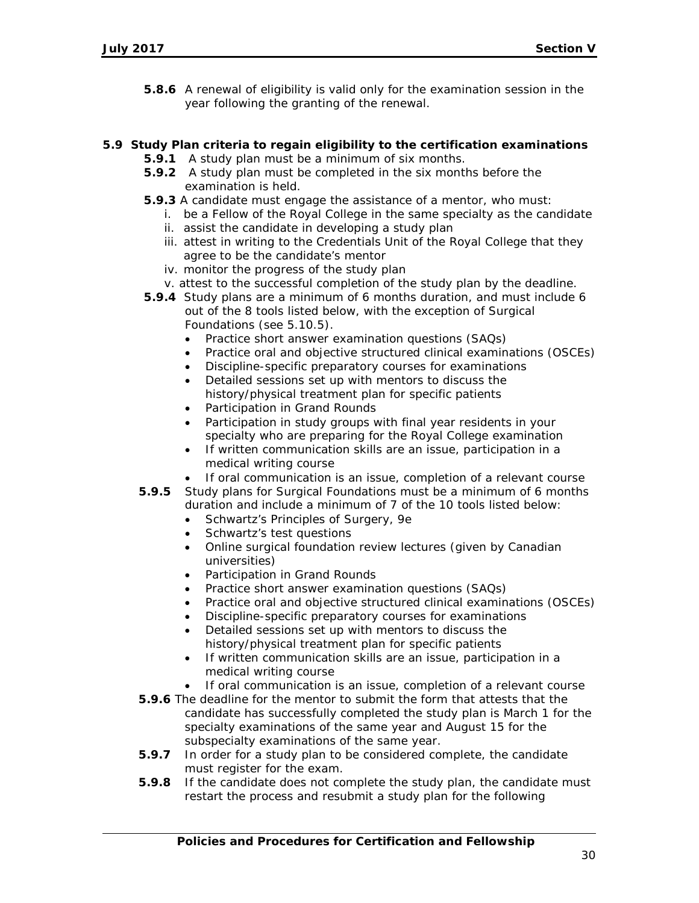**5.8.6** A renewal of eligibility is valid only for the examination session in the year following the granting of the renewal.

# **5.9 Study Plan criteria to regain eligibility to the certification examinations**

- **5.9.1** A study plan must be a minimum of six months.
- **5.9.2** A study plan must be completed in the six months before the examination is held.
- **5.9.3** A candidate must engage the assistance of a mentor, who must:
	- i. be a Fellow of the Royal College in the same specialty as the candidate
	- ii. assist the candidate in developing a study plan
	- iii. attest in writing to the Credentials Unit of the Royal College that they agree to be the candidate's mentor
	- iv. monitor the progress of the study plan
	- v. attest to the successful completion of the study plan by the deadline.
- **5.9.4** Study plans are a minimum of 6 months duration, and must include 6 out of the 8 tools listed below, with the exception of Surgical Foundations (see 5.10.5).
	- Practice short answer examination questions (SAQs)
	- Practice oral and objective structured clinical examinations (OSCEs)
	- Discipline-specific preparatory courses for examinations
	- Detailed sessions set up with mentors to discuss the history/physical treatment plan for specific patients
	- Participation in Grand Rounds
	- Participation in study groups with final year residents in your specialty who are preparing for the Royal College examination
	- If written communication skills are an issue, participation in a medical writing course
	- If oral communication is an issue, completion of a relevant course
- **5.9.5** Study plans for Surgical Foundations must be a minimum of 6 months duration and include a minimum of 7 of the 10 tools listed below:
	- Schwartz's Principles of Surgery, 9e
	- Schwartz's test questions
	- Online surgical foundation review lectures (given by Canadian universities)
	- Participation in Grand Rounds
	- Practice short answer examination questions (SAQs)
	- Practice oral and objective structured clinical examinations (OSCEs)
	- Discipline-specific preparatory courses for examinations
	- Detailed sessions set up with mentors to discuss the history/physical treatment plan for specific patients
	- If written communication skills are an issue, participation in a medical writing course
	- If oral communication is an issue, completion of a relevant course
- **5.9.6** The deadline for the mentor to submit the form that attests that the candidate has successfully completed the study plan is March 1 for the specialty examinations of the same year and August 15 for the subspecialty examinations of the same year.
- **5.9.7** In order for a study plan to be considered complete, the candidate must register for the exam.
- **5.9.8** If the candidate does not complete the study plan, the candidate must restart the process and resubmit a study plan for the following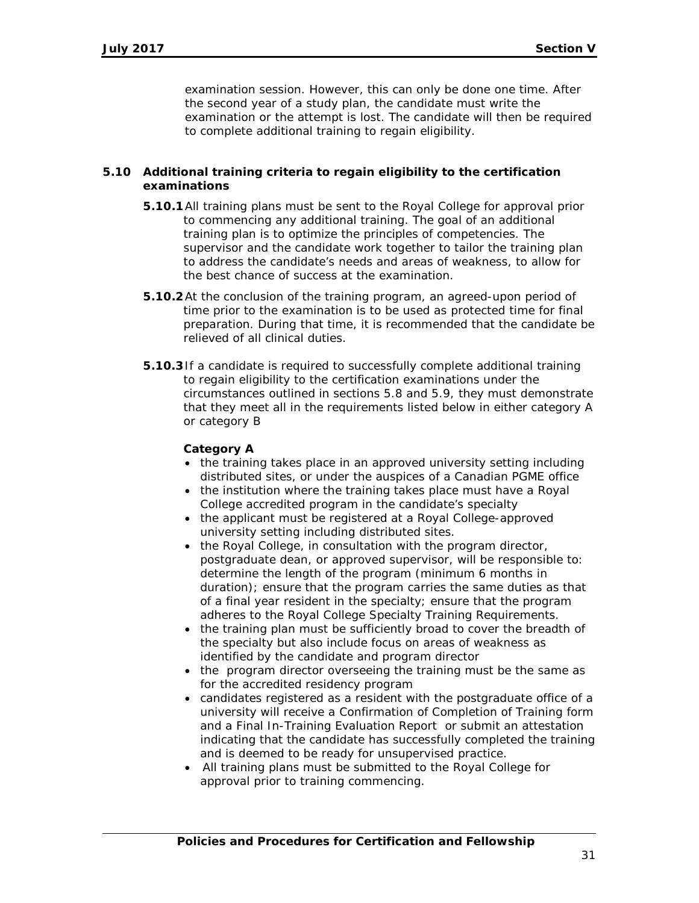examination session. However, this can only be done one time. After the second year of a study plan, the candidate must write the examination or the attempt is lost. The candidate will then be required to complete additional training to regain eligibility.

### **5.10 Additional training criteria to regain eligibility to the certification examinations**

- **5.10.1**All training plans must be sent to the Royal College for approval prior to commencing any additional training. The goal of an additional training plan is to optimize the principles of competencies. The supervisor and the candidate work together to tailor the training plan to address the candidate's needs and areas of weakness, to allow for the best chance of success at the examination.
- **5.10.2**At the conclusion of the training program, an agreed-upon period of time prior to the examination is to be used as protected time for final preparation. During that time, it is recommended that the candidate be relieved of all clinical duties.
- **5.10.3**If a candidate is required to successfully complete additional training to regain eligibility to the certification examinations under the circumstances outlined in sections 5.8 and 5.9, they must demonstrate that they meet all in the requirements listed below in either category A or category B

### **Category A**

- the training takes place in an approved university setting including distributed sites, or under the auspices of a Canadian PGME office
- the institution where the training takes place must have a Royal College accredited program in the candidate's specialty
- the applicant must be registered at a Royal College-approved university setting including distributed sites.
- the Royal College, in consultation with the program director, postgraduate dean, or approved supervisor, will be responsible to: determine the length of the program (minimum 6 months in duration); ensure that the program carries the same duties as that of a final year resident in the specialty; ensure that the program adheres to the Royal College Specialty Training Requirements.
- the training plan must be sufficiently broad to cover the breadth of the specialty but also include focus on areas of weakness as identified by the candidate and program director
- the program director overseeing the training must be the same as for the accredited residency program
- candidates registered as a resident with the postgraduate office of a university will receive a Confirmation of Completion of Training form and a Final In-Training Evaluation Report or submit an attestation indicating that the candidate has successfully completed the training and is deemed to be ready for unsupervised practice.
- All training plans must be submitted to the Royal College for approval prior to training commencing.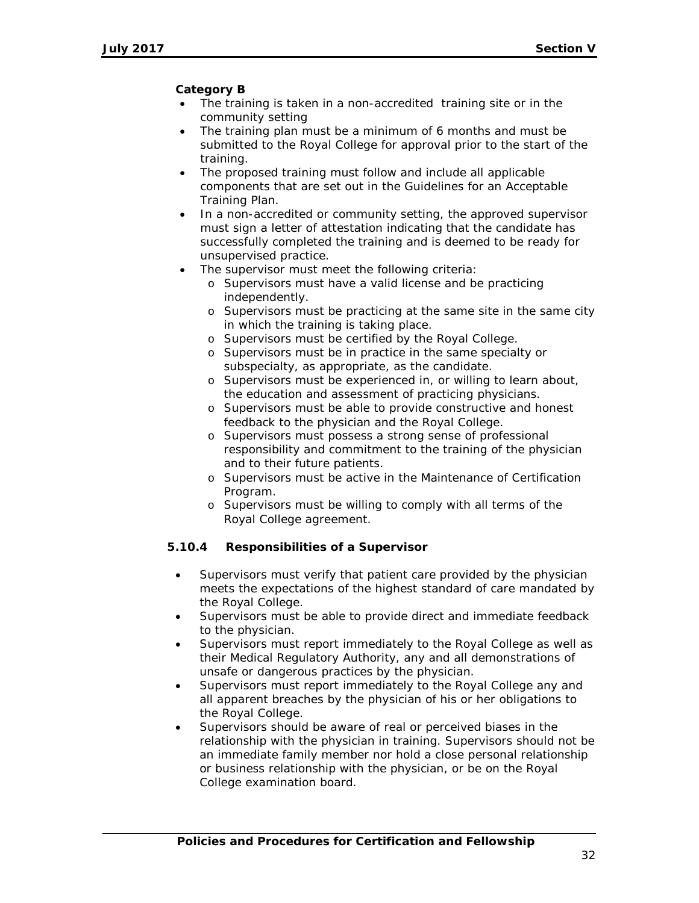# **Category B**

- The training is taken in a non-accredited training site or in the community setting
- The training plan must be a minimum of 6 months and must be submitted to the Royal College for approval prior to the start of the training.
- The proposed training must follow and include all applicable components that are set out in the Guidelines for an Acceptable Training Plan.
- In a non-accredited or community setting, the approved supervisor must sign a letter of attestation indicating that the candidate has successfully completed the training and is deemed to be ready for unsupervised practice.
- The supervisor must meet the following criteria:
	- o Supervisors must have a valid license and be practicing independently.
	- o Supervisors must be practicing at the same site in the same city in which the training is taking place.
	- o Supervisors must be certified by the Royal College.
	- o Supervisors must be in practice in the same specialty or subspecialty, as appropriate, as the candidate.
	- o Supervisors must be experienced in, or willing to learn about, the education and assessment of practicing physicians.
	- o Supervisors must be able to provide constructive and honest feedback to the physician and the Royal College.
	- o Supervisors must possess a strong sense of professional responsibility and commitment to the training of the physician and to their future patients.
	- o Supervisors must be active in the Maintenance of Certification Program.
	- o Supervisors must be willing to comply with all terms of the Royal College agreement.

# **5.10.4 Responsibilities of a Supervisor**

- Supervisors must verify that patient care provided by the physician meets the expectations of the highest standard of care mandated by the Royal College.
- Supervisors must be able to provide direct and immediate feedback to the physician.
- Supervisors must report immediately to the Royal College as well as their Medical Regulatory Authority, any and all demonstrations of unsafe or dangerous practices by the physician.
- Supervisors must report immediately to the Royal College any and all apparent breaches by the physician of his or her obligations to the Royal College.
- Supervisors should be aware of real or perceived biases in the relationship with the physician in training. Supervisors should not be an immediate family member nor hold a close personal relationship or business relationship with the physician, or be on the Royal College examination board.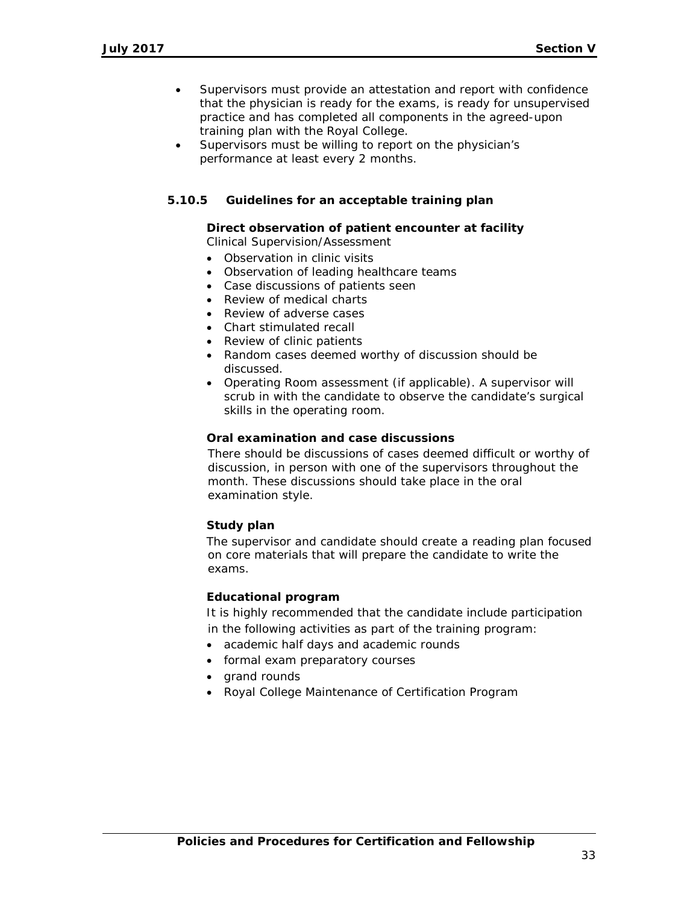- Supervisors must provide an attestation and report with confidence that the physician is ready for the exams, is ready for unsupervised practice and has completed all components in the agreed-upon training plan with the Royal College.
- Supervisors must be willing to report on the physician's performance at least every 2 months.

# **5.10.5 Guidelines for an acceptable training plan**

#### **Direct observation of patient encounter at facility**

Clinical Supervision/Assessment

- Observation in clinic visits
- Observation of leading healthcare teams
- Case discussions of patients seen
- Review of medical charts
- Review of adverse cases
- Chart stimulated recall
- Review of clinic patients
- Random cases deemed worthy of discussion should be discussed.
- Operating Room assessment (if applicable). A supervisor will scrub in with the candidate to observe the candidate's surgical skills in the operating room.

### **Oral examination and case discussions**

There should be discussions of cases deemed difficult or worthy of discussion, in person with one of the supervisors throughout the month. These discussions should take place in the oral examination style.

#### **Study plan**

The supervisor and candidate should create a reading plan focused on core materials that will prepare the candidate to write the exams.

#### **Educational program**

It is highly recommended that the candidate include participation in the following activities as part of the training program:

- academic half days and academic rounds
- formal exam preparatory courses
- grand rounds
- Royal College Maintenance of Certification Program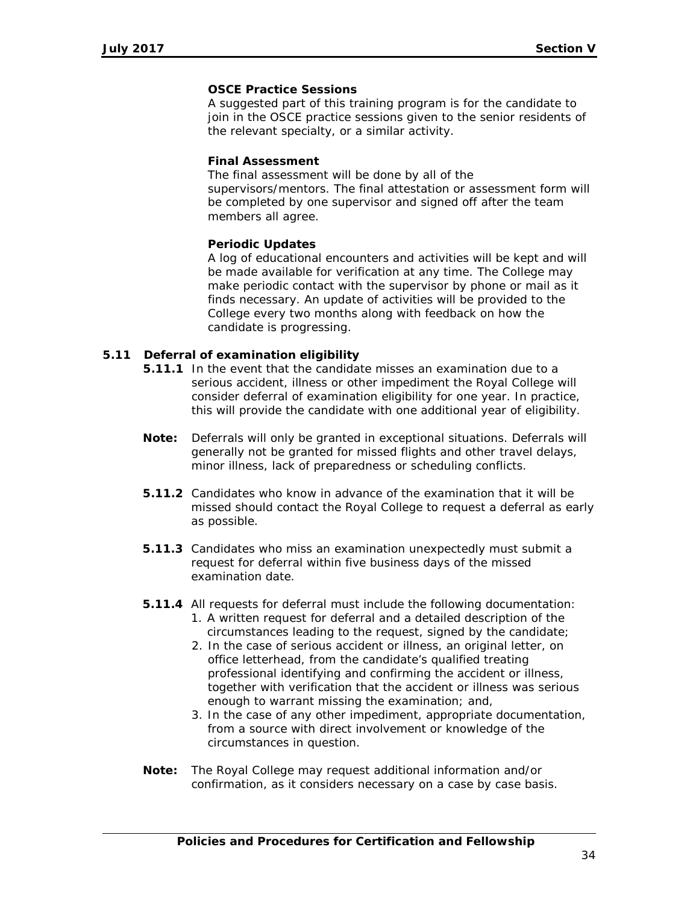# **OSCE Practice Sessions**

A suggested part of this training program is for the candidate to join in the OSCE practice sessions given to the senior residents of the relevant specialty, or a similar activity.

### **Final Assessment**

The final assessment will be done by all of the supervisors/mentors. The final attestation or assessment form will be completed by one supervisor and signed off after the team members all agree.

# **Periodic Updates**

A log of educational encounters and activities will be kept and will be made available for verification at any time. The College may make periodic contact with the supervisor by phone or mail as it finds necessary. An update of activities will be provided to the College every two months along with feedback on how the candidate is progressing.

# **5.11 Deferral of examination eligibility**

- **5.11.1** In the event that the candidate misses an examination due to a serious accident, illness or other impediment the Royal College will consider deferral of examination eligibility for one year. In practice, this will provide the candidate with one additional year of eligibility.
- **Note:** Deferrals will only be granted in exceptional situations. Deferrals will generally not be granted for missed flights and other travel delays, minor illness, lack of preparedness or scheduling conflicts.
- **5.11.2** Candidates who know in advance of the examination that it will be missed should contact the Royal College to request a deferral as early as possible.
- **5.11.3** Candidates who miss an examination unexpectedly must submit a request for deferral within five business days of the missed examination date.
- **5.11.4** All requests for deferral must include the following documentation:
	- 1. A written request for deferral and a detailed description of the circumstances leading to the request, signed by the candidate;
	- 2. In the case of serious accident or illness, an original letter, on office letterhead, from the candidate's qualified treating professional identifying and confirming the accident or illness, together with verification that the accident or illness was serious enough to warrant missing the examination; and,
	- 3. In the case of any other impediment, appropriate documentation, from a source with direct involvement or knowledge of the circumstances in question.
- **Note:** The Royal College may request additional information and/or confirmation, as it considers necessary on a case by case basis.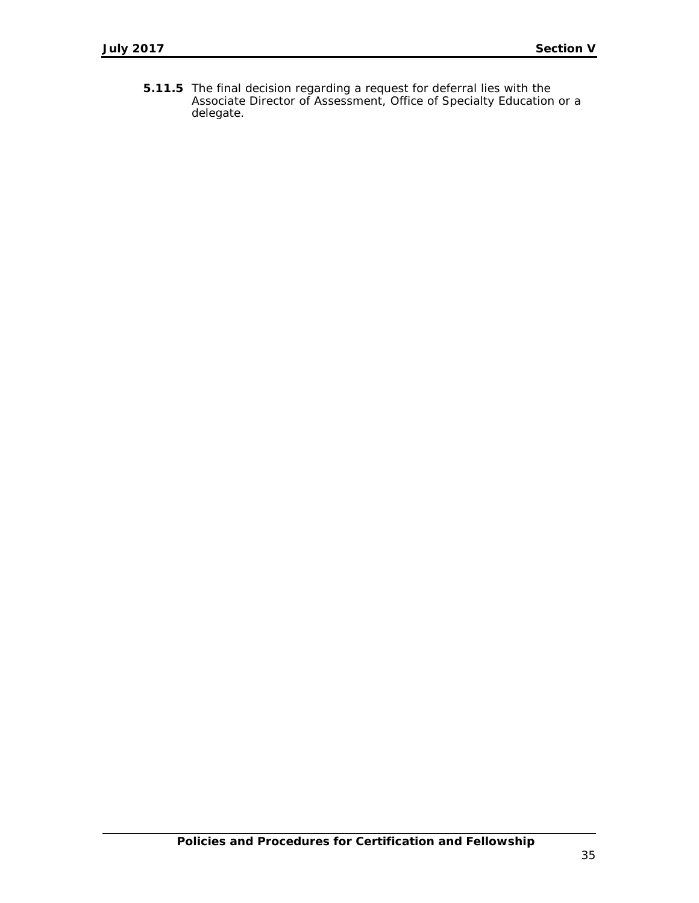**5.11.5** The final decision regarding a request for deferral lies with the Associate Director of Assessment, Office of Specialty Education or a delegate.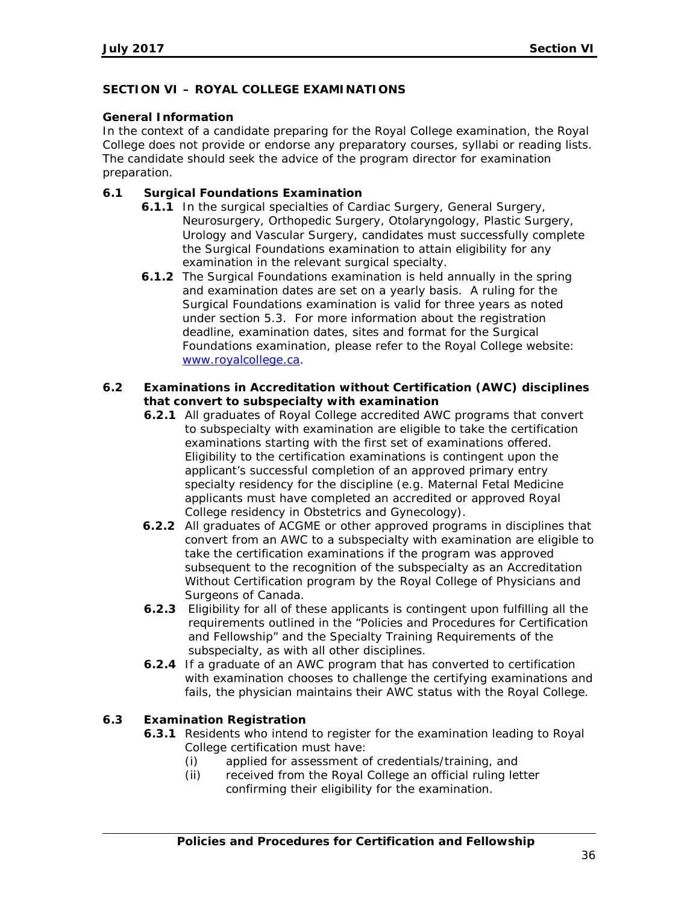# **SECTION VI – ROYAL COLLEGE EXAMINATIONS**

### **General Information**

In the context of a candidate preparing for the Royal College examination, the Royal College does not provide or endorse any preparatory courses, syllabi or reading lists. The candidate should seek the advice of the program director for examination preparation.

# **6.1 Surgical Foundations Examination**

- **6.1.1** In the surgical specialties of Cardiac Surgery, General Surgery, Neurosurgery, Orthopedic Surgery, Otolaryngology, Plastic Surgery, Urology and Vascular Surgery, candidates must successfully complete the Surgical Foundations examination to attain eligibility for any examination in the relevant surgical specialty.
- **6.1.2** The Surgical Foundations examination is held annually in the spring and examination dates are set on a yearly basis. A ruling for the Surgical Foundations examination is valid for three years as noted under section 5.3. For more information about the registration deadline, examination dates, sites and format for the Surgical Foundations examination, please refer to the Royal College website: [www.royalcollege.ca.](http://www.royalcollege.ca/)

# **6.2 Examinations in Accreditation without Certification (AWC) disciplines that convert to subspecialty with examination**

- **6.2.1** All graduates of Royal College accredited AWC programs that convert to subspecialty with examination are eligible to take the certification examinations starting with the first set of examinations offered. Eligibility to the certification examinations is contingent upon the applicant's successful completion of an approved primary entry specialty residency for the discipline (e.g. Maternal Fetal Medicine applicants must have completed an accredited or approved Royal College residency in Obstetrics and Gynecology).
- **6.2.2** All graduates of ACGME or other approved programs in disciplines that convert from an AWC to a subspecialty with examination are eligible to take the certification examinations if the program was approved subsequent to the recognition of the subspecialty as an Accreditation Without Certification program by the Royal College of Physicians and Surgeons of Canada.
- **6.2.3** Eligibility for all of these applicants is contingent upon fulfilling all the requirements outlined in the "Policies and Procedures for Certification and Fellowship" and the Specialty Training Requirements of the subspecialty, as with all other disciplines.
- **6.2.4** If a graduate of an AWC program that has converted to certification with examination chooses to challenge the certifying examinations and fails, the physician maintains their AWC status with the Royal College.

# **6.3 Examination Registration**

- **6.3.1** Residents who intend to register for the examination leading to Royal College certification must have:
	- (i) applied for assessment of credentials/training, and
	- (ii) received from the Royal College an official ruling letter confirming their eligibility for the examination.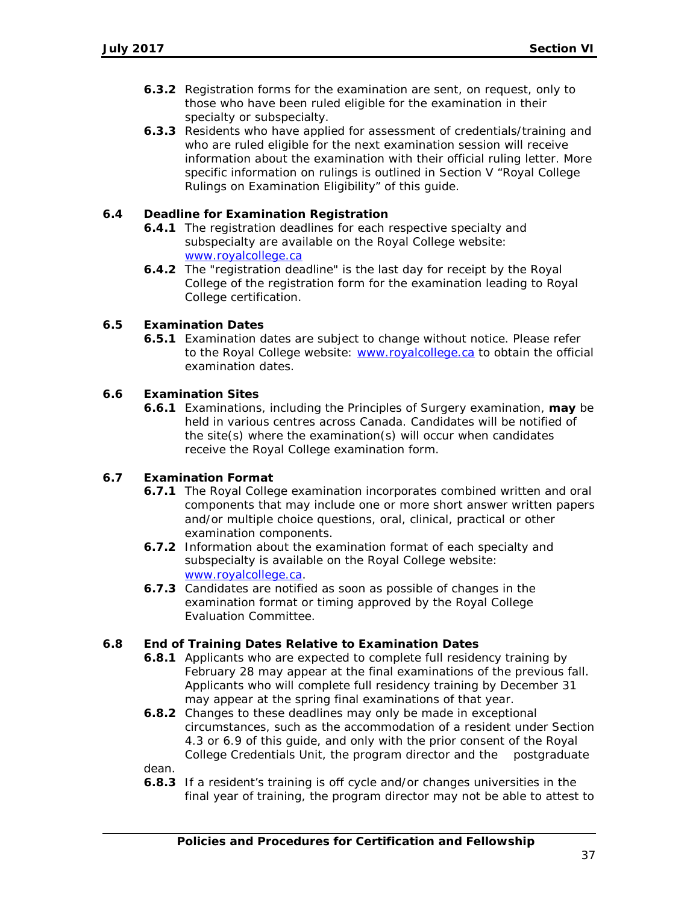- **6.3.2** Registration forms for the examination are sent, on request, only to those who have been ruled eligible for the examination in their specialty or subspecialty.
- **6.3.3** Residents who have applied for assessment of credentials/training and who are ruled eligible for the next examination session will receive information about the examination with their official ruling letter. More specific information on rulings is outlined in Section V "Royal College Rulings on Examination Eligibility" of this guide.

### **6.4 Deadline for Examination Registration**

- **6.4.1** The registration deadlines for each respective specialty and subspecialty are available on the Royal College website: [www.royalcollege.ca](http://www.royalcollege.ca/)
- **6.4.2** The "registration deadline" is the last day for receipt by the Royal College of the registration form for the examination leading to Royal College certification.

#### **6.5 Examination Dates**

**6.5.1** Examination dates are subject to change without notice. Please refer to the Royal College website: [www.royalcollege.ca](http://www.royalcollege.ca/) to obtain the official examination dates.

#### **6.6 Examination Sites**

**6.6.1** Examinations, including the Principles of Surgery examination, **may** be held in various centres across Canada. Candidates will be notified of the site(s) where the examination(s) will occur when candidates receive the Royal College examination form.

# **6.7 Examination Format**

- **6.7.1** The Royal College examination incorporates combined written and oral components that may include one or more short answer written papers and/or multiple choice questions, oral, clinical, practical or other examination components.
- **6.7.2** Information about the examination format of each specialty and subspecialty is available on the Royal College website: [www.royalcollege.ca.](http://www.royalcollege.ca/)
- **6.7.3** Candidates are notified as soon as possible of changes in the examination format or timing approved by the Royal College Evaluation Committee.

#### **6.8 End of Training Dates Relative to Examination Dates**

- **6.8.1** Applicants who are expected to complete full residency training by February 28 may appear at the final examinations of the previous fall. Applicants who will complete full residency training by December 31 may appear at the spring final examinations of that year.
- **6.8.2** Changes to these deadlines may only be made in exceptional circumstances, such as the accommodation of a resident under Section 4.3 or 6.9 of this guide, and only with the prior consent of the Royal College Credentials Unit, the program director and the postgraduate

dean.

**6.8.3** If a resident's training is off cycle and/or changes universities in the final year of training, the program director may not be able to attest to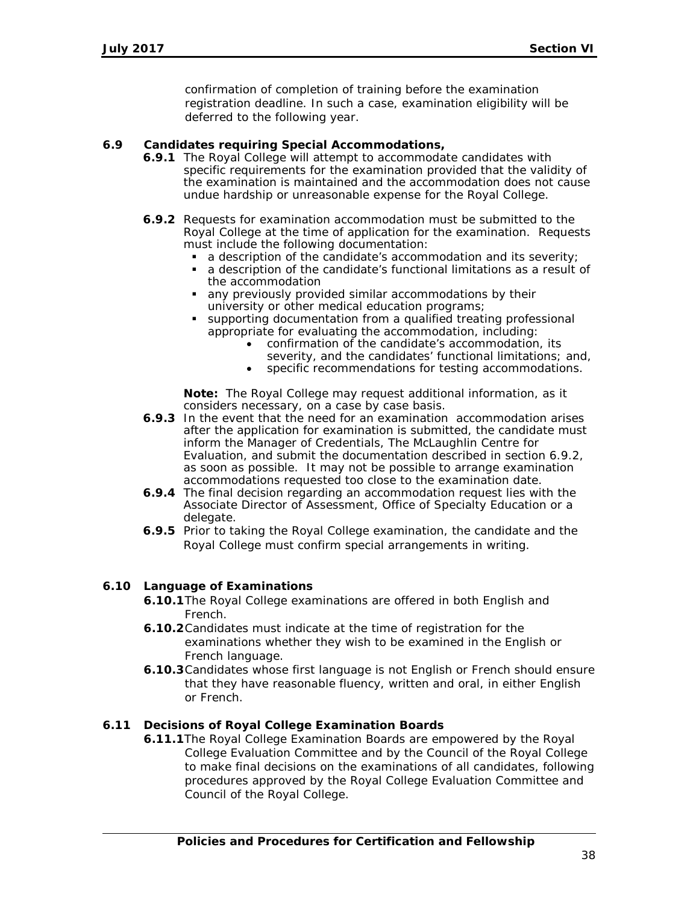confirmation of completion of training before the examination registration deadline. In such a case, examination eligibility will be deferred to the following year.

#### **6.9 Candidates requiring Special Accommodations,**

- **6.9.1** The Royal College will attempt to accommodate candidates with specific requirements for the examination provided that the validity of the examination is maintained and the accommodation does not cause undue hardship or unreasonable expense for the Royal College.
- **6.9.2** Requests for examination accommodation must be submitted to the Royal College at the time of application for the examination. Requests must include the following documentation:
	- $\blacksquare$  a description of the candidate's accommodation and its severity;
	- a description of the candidate's functional limitations as a result of the accommodation
	- any previously provided similar accommodations by their university or other medical education programs;
	- supporting documentation from a qualified treating professional appropriate for evaluating the accommodation, including:
		- confirmation of the candidate's accommodation, its severity, and the candidates' functional limitations; and,
		- specific recommendations for testing accommodations.

**Note:** The Royal College may request additional information, as it considers necessary, on a case by case basis.

- **6.9.3** In the event that the need for an examination accommodation arises after the application for examination is submitted, the candidate must inform the Manager of Credentials, The McLaughlin Centre for Evaluation, and submit the documentation described in section 6.9.2, as soon as possible. It may not be possible to arrange examination accommodations requested too close to the examination date.
- **6.9.4** The final decision regarding an accommodation request lies with the Associate Director of Assessment, Office of Specialty Education or a delegate.
- **6.9.5** Prior to taking the Royal College examination, the candidate and the Royal College must confirm special arrangements in writing.

#### **6.10 Language of Examinations**

- **6.10.1**The Royal College examinations are offered in both English and French.
- **6.10.2**Candidates must indicate at the time of registration for the examinations whether they wish to be examined in the English or French language.
- **6.10.3**Candidates whose first language is not English or French should ensure that they have reasonable fluency, written and oral, in either English or French.

# **6.11 Decisions of Royal College Examination Boards**

**6.11.1**The Royal College Examination Boards are empowered by the Royal College Evaluation Committee and by the Council of the Royal College to make final decisions on the examinations of all candidates, following procedures approved by the Royal College Evaluation Committee and Council of the Royal College.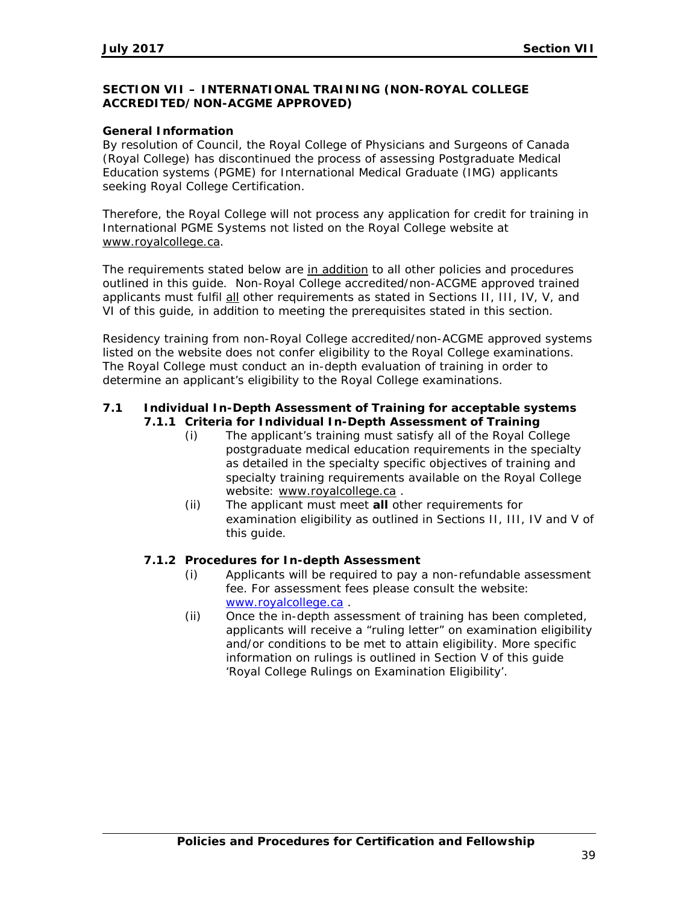# **SECTION VII – INTERNATIONAL TRAINING (NON-ROYAL COLLEGE ACCREDITED/NON-ACGME APPROVED)**

# **General Information**

By resolution of Council, the Royal College of Physicians and Surgeons of Canada (Royal College) has discontinued the process of assessing Postgraduate Medical Education systems (PGME) for International Medical Graduate (IMG) applicants seeking Royal College Certification.

Therefore, the Royal College will not process any application for credit for training in International PGME Systems not listed on the Royal College website at [www.royalcollege.ca.](http://www.royalcollege.ca/)

The requirements stated below are in addition to all other policies and procedures outlined in this guide. Non-Royal College accredited/non-ACGME approved trained applicants must fulfil all other requirements as stated in Sections II, III, IV, V, and VI of this guide, in addition to meeting the prerequisites stated in this section.

Residency training from non-Royal College accredited/non-ACGME approved systems listed on the website does not confer eligibility to the Royal College examinations. The Royal College must conduct an in-depth evaluation of training in order to determine an applicant's eligibility to the Royal College examinations.

### **7.1 Individual In-Depth Assessment of Training for acceptable systems 7.1.1 Criteria for Individual In-Depth Assessment of Training**

- (i) The applicant's training must satisfy all of the Royal College postgraduate medical education requirements in the specialty as detailed in the specialty specific objectives of training and specialty training requirements available on the Royal College website: [www.royalcollege.ca](http://www.royalcollege.ca/) .
- (ii) The applicant must meet **all** other requirements for examination eligibility as outlined in Sections II, III, IV and V of this guide.

#### **7.1.2 Procedures for In-depth Assessment**

- (i) Applicants will be required to pay a non-refundable assessment fee. For assessment fees please consult the website: [www.royalcollege.ca](http://www.royalcollege.ca/) .
- (ii) Once the in-depth assessment of training has been completed, applicants will receive a "ruling letter" on examination eligibility and/or conditions to be met to attain eligibility. More specific information on rulings is outlined in Section V of this guide 'Royal College Rulings on Examination Eligibility'.